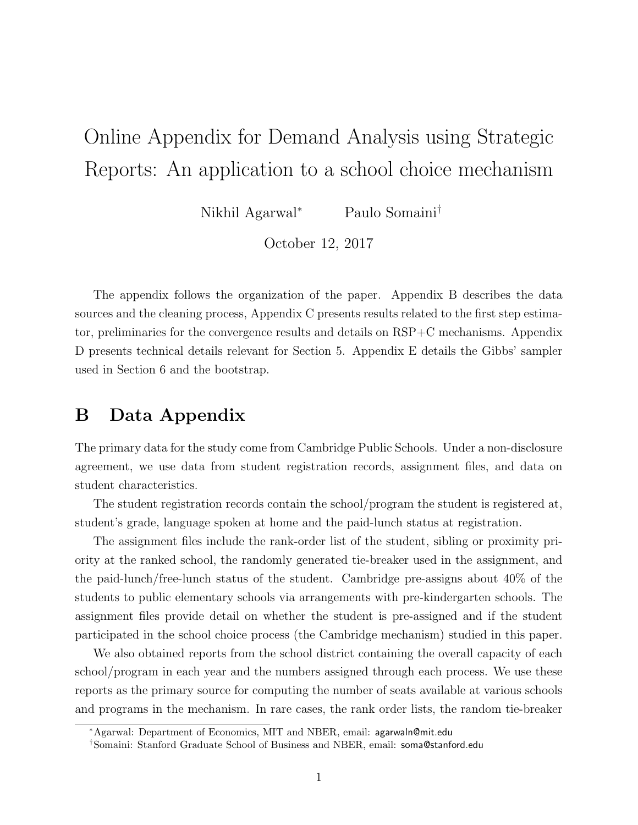# Online Appendix for Demand Analysis using Strategic Reports: An application to a school choice mechanism

Nikhil Agarwal<sup>∗</sup> Paulo Somaini†

October 12, 2017

The appendix follows the organization of the paper. Appendix B describes the data sources and the cleaning process, Appendix C presents results related to the first step estimator, preliminaries for the convergence results and details on RSP+C mechanisms. Appendix D presents technical details relevant for Section 5. Appendix E details the Gibbs' sampler used in Section 6 and the bootstrap.

# B Data Appendix

The primary data for the study come from Cambridge Public Schools. Under a non-disclosure agreement, we use data from student registration records, assignment files, and data on student characteristics.

The student registration records contain the school/program the student is registered at, student's grade, language spoken at home and the paid-lunch status at registration.

The assignment files include the rank-order list of the student, sibling or proximity priority at the ranked school, the randomly generated tie-breaker used in the assignment, and the paid-lunch/free-lunch status of the student. Cambridge pre-assigns about 40% of the students to public elementary schools via arrangements with pre-kindergarten schools. The assignment files provide detail on whether the student is pre-assigned and if the student participated in the school choice process (the Cambridge mechanism) studied in this paper.

We also obtained reports from the school district containing the overall capacity of each school/program in each year and the numbers assigned through each process. We use these reports as the primary source for computing the number of seats available at various schools and programs in the mechanism. In rare cases, the rank order lists, the random tie-breaker

<sup>∗</sup>Agarwal: Department of Economics, MIT and NBER, email: agarwaln@mit.edu

<sup>†</sup>Somaini: Stanford Graduate School of Business and NBER, email: soma@stanford.edu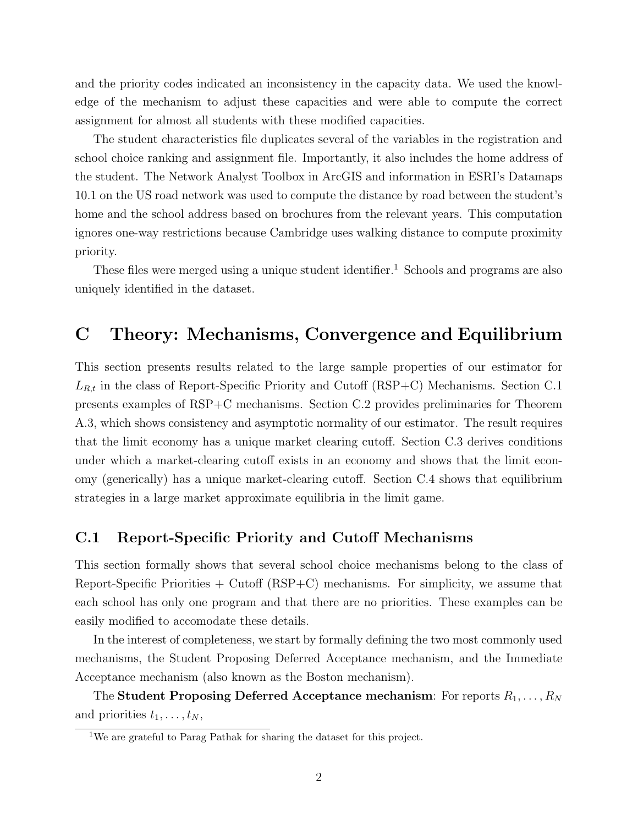and the priority codes indicated an inconsistency in the capacity data. We used the knowledge of the mechanism to adjust these capacities and were able to compute the correct assignment for almost all students with these modified capacities.

The student characteristics file duplicates several of the variables in the registration and school choice ranking and assignment file. Importantly, it also includes the home address of the student. The Network Analyst Toolbox in ArcGIS and information in ESRI's Datamaps 10.1 on the US road network was used to compute the distance by road between the student's home and the school address based on brochures from the relevant years. This computation ignores one-way restrictions because Cambridge uses walking distance to compute proximity priority.

These files were merged using a unique student identifier.<sup>1</sup> Schools and programs are also uniquely identified in the dataset.

# C Theory: Mechanisms, Convergence and Equilibrium

This section presents results related to the large sample properties of our estimator for  $L_{R,t}$  in the class of Report-Specific Priority and Cutoff (RSP+C) Mechanisms. Section C.1 presents examples of RSP+C mechanisms. Section C.2 provides preliminaries for Theorem A.3, which shows consistency and asymptotic normality of our estimator. The result requires that the limit economy has a unique market clearing cutoff. Section C.3 derives conditions under which a market-clearing cutoff exists in an economy and shows that the limit economy (generically) has a unique market-clearing cutoff. Section C.4 shows that equilibrium strategies in a large market approximate equilibria in the limit game.

# C.1 Report-Specific Priority and Cutoff Mechanisms

This section formally shows that several school choice mechanisms belong to the class of Report-Specific Priorities  $+$  Cutoff (RSP $+C$ ) mechanisms. For simplicity, we assume that each school has only one program and that there are no priorities. These examples can be easily modified to accomodate these details.

In the interest of completeness, we start by formally defining the two most commonly used mechanisms, the Student Proposing Deferred Acceptance mechanism, and the Immediate Acceptance mechanism (also known as the Boston mechanism).

The  ${\bf Student \: Proposing \: Deferred \: Acceptance \: mechanism: \: For \: reports \: } R_1, \ldots, R_N$ and priorities  $t_1, \ldots, t_N$ ,

<sup>1</sup>We are grateful to Parag Pathak for sharing the dataset for this project.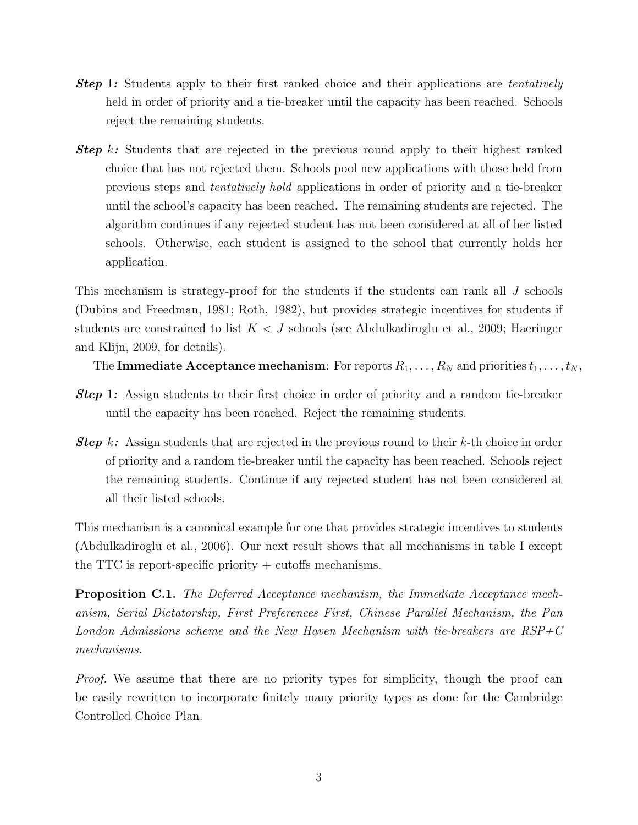- **Step 1:** Students apply to their first ranked choice and their applications are *tentatively* held in order of priority and a tie-breaker until the capacity has been reached. Schools reject the remaining students.
- **Step** k: Students that are rejected in the previous round apply to their highest ranked choice that has not rejected them. Schools pool new applications with those held from previous steps and tentatively hold applications in order of priority and a tie-breaker until the school's capacity has been reached. The remaining students are rejected. The algorithm continues if any rejected student has not been considered at all of her listed schools. Otherwise, each student is assigned to the school that currently holds her application.

This mechanism is strategy-proof for the students if the students can rank all J schools (Dubins and Freedman, 1981; Roth, 1982), but provides strategic incentives for students if students are constrained to list  $K < J$  schools (see Abdulkadiroglu et al., 2009; Haeringer and Klijn, 2009, for details).

The **Immediate Acceptance mechanism**: For reports  $R_1, \ldots, R_N$  and priorities  $t_1, \ldots, t_N$ ,

- **Step 1:** Assign students to their first choice in order of priority and a random tie-breaker until the capacity has been reached. Reject the remaining students.
- **Step** k: Assign students that are rejected in the previous round to their  $k$ -th choice in order of priority and a random tie-breaker until the capacity has been reached. Schools reject the remaining students. Continue if any rejected student has not been considered at all their listed schools.

This mechanism is a canonical example for one that provides strategic incentives to students (Abdulkadiroglu et al., 2006). Our next result shows that all mechanisms in table I except the TTC is report-specific priority  $+$  cutoffs mechanisms.

Proposition C.1. The Deferred Acceptance mechanism, the Immediate Acceptance mechanism, Serial Dictatorship, First Preferences First, Chinese Parallel Mechanism, the Pan London Admissions scheme and the New Haven Mechanism with tie-breakers are RSP+C mechanisms.

Proof. We assume that there are no priority types for simplicity, though the proof can be easily rewritten to incorporate finitely many priority types as done for the Cambridge Controlled Choice Plan.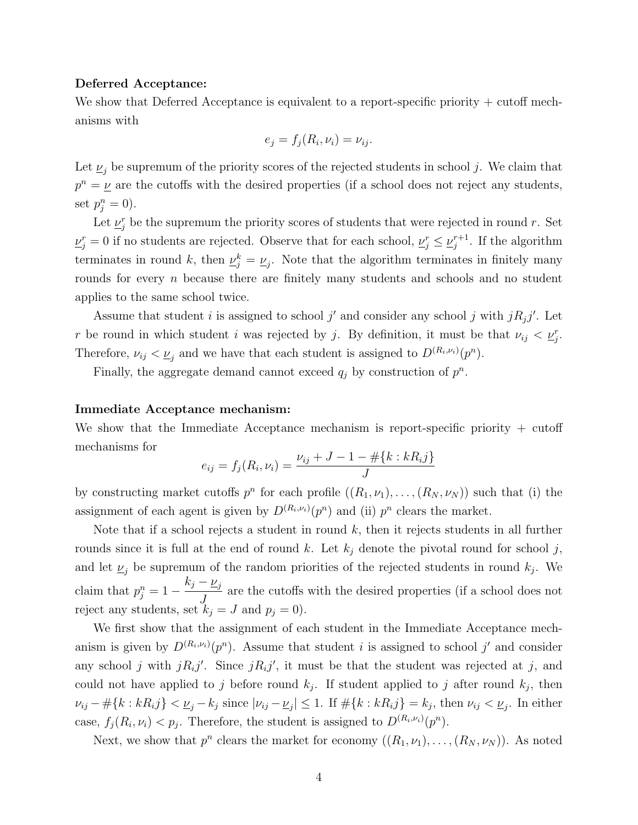#### Deferred Acceptance:

We show that Deferred Acceptance is equivalent to a report-specific priority  $+$  cutoff mechanisms with

$$
e_j = f_j(R_i, \nu_i) = \nu_{ij}.
$$

Let  $\underline{\nu}_j$  be supremum of the priority scores of the rejected students in school j. We claim that  $p^{n} = \underline{\nu}$  are the cutoffs with the desired properties (if a school does not reject any students, set  $p_j^n = 0$ ).

Let  $\underline{\nu}_{j}^{r}$  be the supremum the priority scores of students that were rejected in round r. Set  $\underline{\nu}_j^r = 0$  if no students are rejected. Observe that for each school,  $\underline{\nu}_j^r \le \underline{\nu}_j^{r+1}$  $j^{r+1}$ . If the algorithm terminates in round k, then  $\underline{\nu}_j^k = \underline{\nu}_j$ . Note that the algorithm terminates in finitely many rounds for every *n* because there are finitely many students and schools and no student applies to the same school twice.

Assume that student i is assigned to school j' and consider any school j with  $jR_jj'$ . Let r be round in which student i was rejected by j. By definition, it must be that  $\nu_{ij} < \underline{\nu}_j^r$ . Therefore,  $\nu_{ij} < \underline{\nu}_j$  and we have that each student is assigned to  $D^{(R_i,\nu_i)}(p^n)$ .

Finally, the aggregate demand cannot exceed  $q_j$  by construction of  $p^n$ .

## Immediate Acceptance mechanism:

We show that the Immediate Acceptance mechanism is report-specific priority + cutoff mechanisms for

$$
e_{ij} = f_j(R_i, \nu_i) = \frac{\nu_{ij} + J - 1 - \# \{k : kR_i j\}}{J}
$$

by constructing market cutoffs  $p^n$  for each profile  $((R_1,\nu_1),\ldots,(R_N,\nu_N))$  such that (i) the assignment of each agent is given by  $D^{(R_i,\nu_i)}(p^n)$  and (ii)  $p^n$  clears the market.

Note that if a school rejects a student in round  $k$ , then it rejects students in all further rounds since it is full at the end of round k. Let  $k_j$  denote the pivotal round for school j, and let  $\underline{\nu}_j$  be supremum of the random priorities of the rejected students in round  $k_j$ . We claim that  $p_j^n = 1$  $k_j - \underline{\nu}_j$  $\int$ are the cutoffs with the desired properties (if a school does not reject any students, set  $k_j = J$  and  $p_j = 0$ .

We first show that the assignment of each student in the Immediate Acceptance mechanism is given by  $D^{(R_i,\nu_i)}(p^n)$ . Assume that student i is assigned to school j' and consider any school j with  $jR_i j'$ . Since  $jR_i j'$ , it must be that the student was rejected at j, and could not have applied to j before round  $k_j$ . If student applied to j after round  $k_j$ , then  $\nu_{ij} - \# \{k : kR_{ij}\} < \underline{\nu}_j - k_j \text{ since } |\nu_{ij} - \underline{\nu}_j| \leq 1.$  If  $\# \{k : kR_{ij}\} = k_j$ , then  $\nu_{ij} < \underline{\nu}_j$ . In either case,  $f_j(R_i, \nu_i) < p_j$ . Therefore, the student is assigned to  $D^{(R_i, \nu_i)}(p^n)$ .

Next, we show that  $p^n$  clears the market for economy  $((R_1, \nu_1), \ldots, (R_N, \nu_N))$ . As noted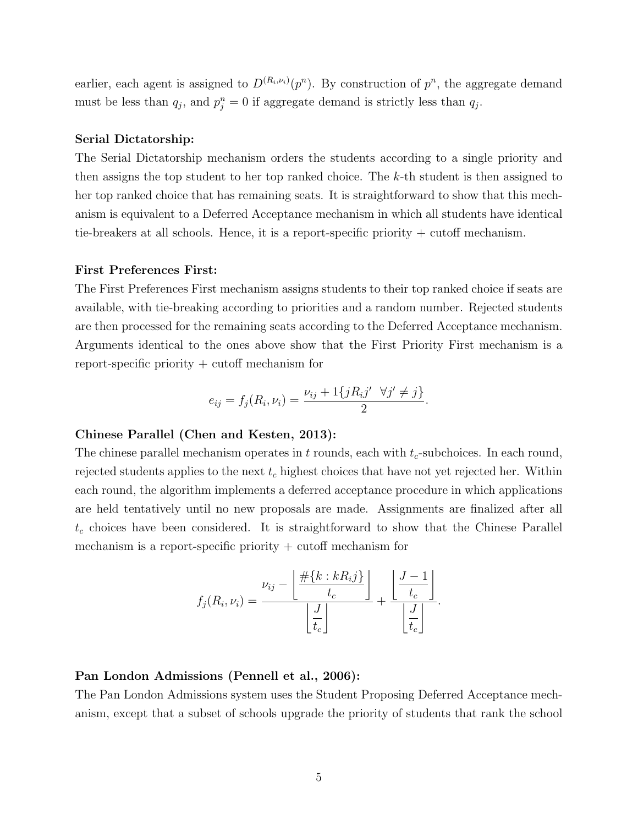earlier, each agent is assigned to  $D^{(R_i,\nu_i)}(p^n)$ . By construction of  $p^n$ , the aggregate demand must be less than  $q_j$ , and  $p_j^n = 0$  if aggregate demand is strictly less than  $q_j$ .

### Serial Dictatorship:

The Serial Dictatorship mechanism orders the students according to a single priority and then assigns the top student to her top ranked choice. The k-th student is then assigned to her top ranked choice that has remaining seats. It is straightforward to show that this mechanism is equivalent to a Deferred Acceptance mechanism in which all students have identical tie-breakers at all schools. Hence, it is a report-specific priority + cutoff mechanism.

#### First Preferences First:

The First Preferences First mechanism assigns students to their top ranked choice if seats are available, with tie-breaking according to priorities and a random number. Rejected students are then processed for the remaining seats according to the Deferred Acceptance mechanism. Arguments identical to the ones above show that the First Priority First mechanism is a report-specific priority + cutoff mechanism for

$$
e_{ij} = f_j(R_i, \nu_i) = \frac{\nu_{ij} + 1\{jR_i j' \ \forall j' \neq j\}}{2}.
$$

### Chinese Parallel (Chen and Kesten, 2013):

The chinese parallel mechanism operates in t rounds, each with  $t_c$ -subchoices. In each round, rejected students applies to the next  $t_c$  highest choices that have not yet rejected her. Within each round, the algorithm implements a deferred acceptance procedure in which applications are held tentatively until no new proposals are made. Assignments are finalized after all  $t_c$  choices have been considered. It is straightforward to show that the Chinese Parallel mechanism is a report-specific priority  $+$  cutoff mechanism for

$$
f_j(R_i, \nu_i) = \frac{\nu_{ij} - \left\lfloor \frac{\# \{k : kR_i j\}}{t_c} \right\rfloor}{\left\lfloor \frac{J}{t_c} \right\rfloor} + \frac{\left\lfloor \frac{J-1}{t_c} \right\rfloor}{\left\lfloor \frac{J}{t_c} \right\rfloor}.
$$

#### Pan London Admissions (Pennell et al., 2006):

The Pan London Admissions system uses the Student Proposing Deferred Acceptance mechanism, except that a subset of schools upgrade the priority of students that rank the school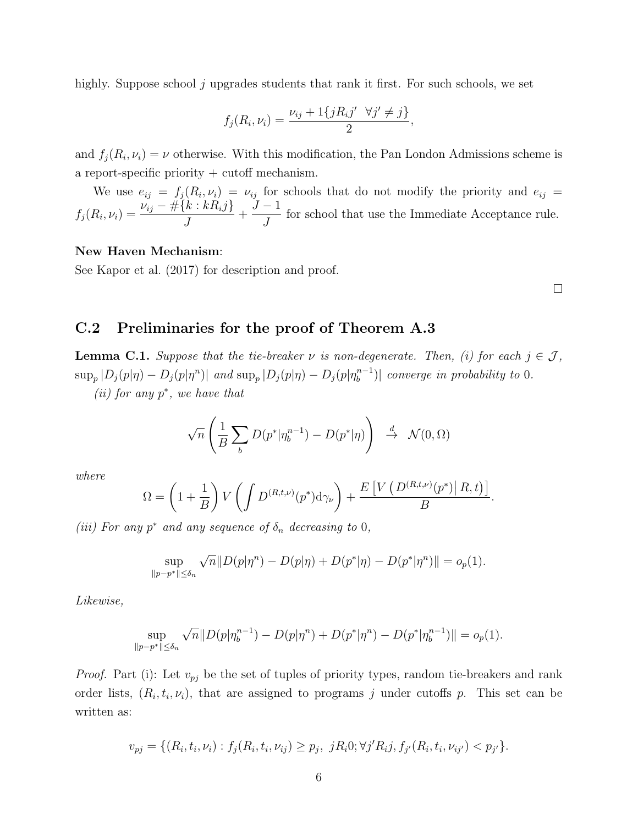highly. Suppose school j upgrades students that rank it first. For such schools, we set

$$
f_j(R_i, \nu_i) = \frac{\nu_{ij} + 1\{jR_ij' \ \forall j' \neq j\}}{2},
$$

and  $f_j(R_i, \nu_i) = \nu$  otherwise. With this modification, the Pan London Admissions scheme is a report-specific priority  $+$  cutoff mechanism.

We use  $e_{ij} = f_j(R_i, \nu_i) = \nu_{ij}$  for schools that do not modify the priority and  $e_{ij}$  $f_j(R_i, \nu_i) = \frac{\nu_{ij} - \# \{k : kR_i j\}}{J}$  $+$  $J-1$ J for school that use the Immediate Acceptance rule.

## New Haven Mechanism:

See Kapor et al. (2017) for description and proof.

 $\Box$ 

.

# C.2 Preliminaries for the proof of Theorem A.3

**Lemma C.1.** Suppose that the tie-breaker  $\nu$  is non-degenerate. Then, (i) for each  $j \in \mathcal{J}$ ,  $\sup_p |D_j(p|\eta) - D_j(p|\eta^n)|$  and  $\sup_p |D_j(p|\eta) - D_j(p|\eta^{n-1}_b)$  $\binom{n-1}{b}$  converge in probability to 0. (*ii*) for any  $p^*$ , we have that

$$
\sqrt{n}\left(\frac{1}{B}\sum_{b} D(p^*|\eta_b^{n-1}) - D(p^*|\eta)\right) \stackrel{d}{\to} \mathcal{N}(0,\Omega)
$$

where

$$
\Omega = \left(1 + \frac{1}{B}\right) V \left( \int D^{(R, t, \nu)}(p^*) \mathrm{d}\gamma_{\nu} \right) + \frac{E \left[ V \left( D^{(R, t, \nu)}(p^*) \middle| R, t \right) \right]}{B}
$$

(iii) For any  $p^*$  and any sequence of  $\delta_n$  decreasing to 0,

$$
\sup_{\|p-p^*\| \le \delta_n} \sqrt{n} \|D(p|\eta^n) - D(p|\eta) + D(p^*|\eta) - D(p^*|\eta^n) \| = o_p(1).
$$

Likewise,

$$
\sup_{\|p-p^*\| \le \delta_n} \sqrt{n} \|D(p|\eta_b^{n-1}) - D(p|\eta^n) + D(p^*|\eta^n) - D(p^*|\eta_b^{n-1})\| = o_p(1).
$$

*Proof.* Part (i): Let  $v_{pj}$  be the set of tuples of priority types, random tie-breakers and rank order lists,  $(R_i, t_i, \nu_i)$ , that are assigned to programs j under cutoffs p. This set can be written as:

$$
v_{pj} = \{ (R_i, t_i, \nu_i) : f_j(R_i, t_i, \nu_{ij}) \ge p_j, \ jR_i 0; \forall j' R_i j, f_{j'}(R_i, t_i, \nu_{ij'}) < p_{j'} \}.
$$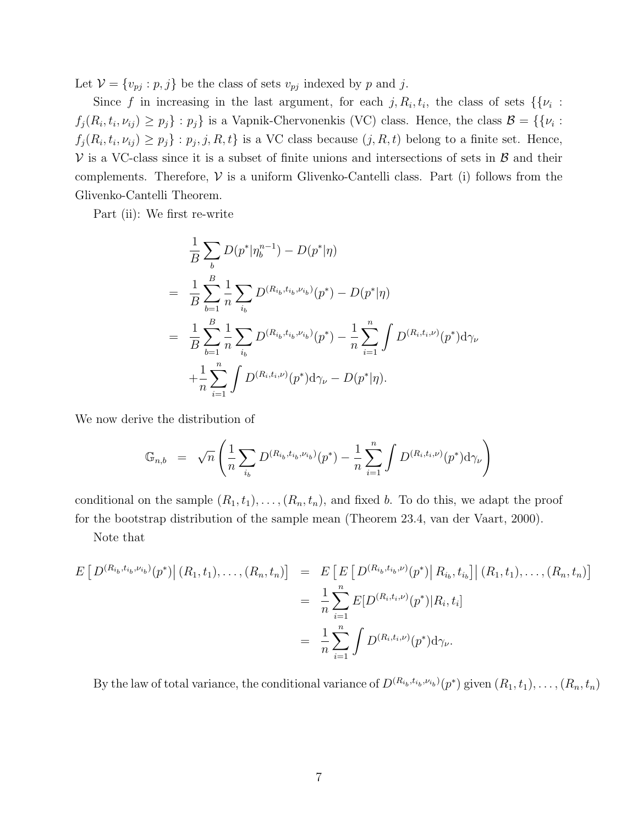Let  $\mathcal{V} = \{v_{pj} : p, j\}$  be the class of sets  $v_{pj}$  indexed by p and j.

Since f in increasing in the last argument, for each  $j, R_i, t_i$ , the class of sets  $\{\{\nu_i :$  $f_j(R_i,t_i,\nu_{ij}) \geq p_j$  :  $p_j$  is a Vapnik-Chervonenkis (VC) class. Hence, the class  $\mathcal{B} = \{\{\nu_i :$  $f_j(R_i, t_i, \nu_{ij}) \geq p_j$  :  $p_j, j, R, t$  is a VC class because  $(j, R, t)$  belong to a finite set. Hence,  $V$  is a VC-class since it is a subset of finite unions and intersections of sets in  $\beta$  and their complements. Therefore,  $V$  is a uniform Glivenko-Cantelli class. Part (i) follows from the Glivenko-Cantelli Theorem.

Part (ii): We first re-write

$$
\frac{1}{B} \sum_{b} D(p^* | \eta_b^{n-1}) - D(p^* | \eta)
$$
\n
$$
= \frac{1}{B} \sum_{b=1}^{B} \frac{1}{n} \sum_{i_b} D^{(R_{i_b}, t_{i_b}, \nu_{i_b})}(p^*) - D(p^* | \eta)
$$
\n
$$
= \frac{1}{B} \sum_{b=1}^{B} \frac{1}{n} \sum_{i_b} D^{(R_{i_b}, t_{i_b}, \nu_{i_b})}(p^*) - \frac{1}{n} \sum_{i=1}^{n} \int D^{(R_{i}, t_{i}, \nu)}(p^*) d\gamma_{\nu}
$$
\n
$$
+ \frac{1}{n} \sum_{i=1}^{n} \int D^{(R_{i}, t_{i}, \nu)}(p^*) d\gamma_{\nu} - D(p^* | \eta).
$$

We now derive the distribution of

$$
\mathbb{G}_{n,b} = \sqrt{n} \left( \frac{1}{n} \sum_{i_b} D^{(R_{i_b}, t_{i_b}, \nu_{i_b})}(p^*) - \frac{1}{n} \sum_{i=1}^n \int D^{(R_i, t_i, \nu)}(p^*) \mathrm{d}\gamma_{\nu} \right)
$$

conditional on the sample  $(R_1, t_1), \ldots, (R_n, t_n)$ , and fixed b. To do this, we adapt the proof for the bootstrap distribution of the sample mean (Theorem 23.4, van der Vaart, 2000).

Note that

$$
E\left[D^{(R_{i_b},t_{i_b},\nu_{i_b})}(p^*)\middle(R_1,t_1),\ldots,(R_n,t_n)\right] = E\left[E\left[D^{(R_{i_b},t_{i_b},\nu)}(p^*)\middle|R_{i_b},t_{i_b}\right]\middle|(R_1,t_1),\ldots,(R_n,t_n)\right]
$$
  

$$
= \frac{1}{n}\sum_{i=1}^n E[D^{(R_i,t_i,\nu)}(p^*)\middle|R_i,t_i]\right]
$$
  

$$
= \frac{1}{n}\sum_{i=1}^n \int D^{(R_i,t_i,\nu)}(p^*)d\gamma_{\nu}.
$$

By the law of total variance, the conditional variance of  $D^{(R_{i_b},t_{i_b},\nu_{i_b})}(p^*)$  given  $(R_1,t_1),\ldots,(R_n,t_n)$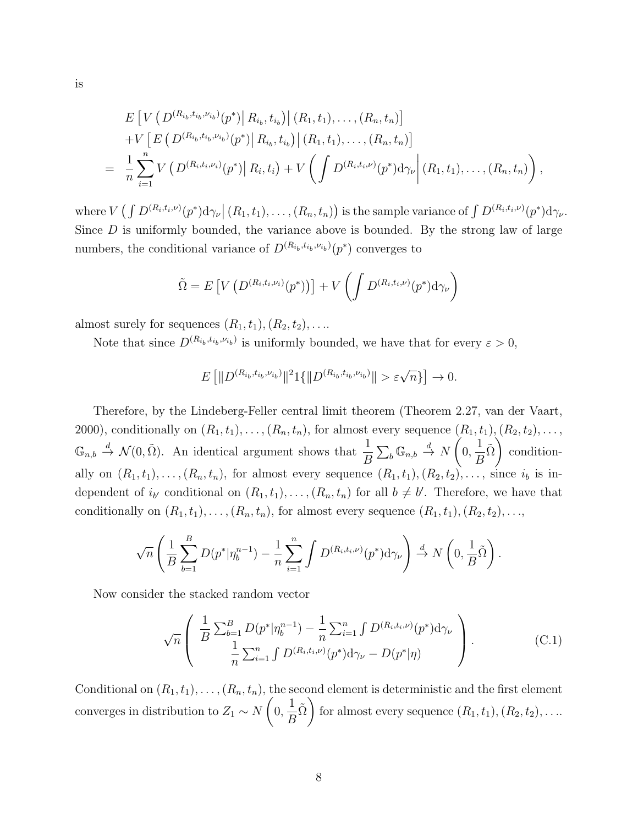$$
E\left[V\left(D^{(R_{i_b},t_{i_b},\nu_{i_b})}(p^*)\bigg|R_{i_b},t_{i_b}\right)\bigg|\ (R_1,t_1),\ldots,(R_n,t_n)\right] +V\left[E\left(D^{(R_{i_b},t_{i_b},\nu_{i_b})}(p^*)\bigg|R_{i_b},t_{i_b}\right)\bigg|\ (R_1,t_1),\ldots,(R_n,t_n)\right] = \frac{1}{n}\sum_{i=1}^n V\left(D^{(R_i,t_i,\nu_i)}(p^*)\bigg|R_i,t_i\right)+V\left(\int D^{(R_i,t_i,\nu)}(p^*)d\gamma_{\nu}\bigg|\ (R_1,t_1),\ldots,(R_n,t_n)\right),
$$

where  $V\left(\int D^{(R_i,t_i,\nu)}(p^*)d\gamma_{\nu}\right|(R_1,t_1),\ldots,(R_n,t_n)\right)$  is the sample variance of  $\int D^{(R_i,t_i,\nu)}(p^*)d\gamma_{\nu}$ . Since  $D$  is uniformly bounded, the variance above is bounded. By the strong law of large numbers, the conditional variance of  $D^{(R_{i_b},t_{i_b},\nu_{i_b})}(p^*)$  converges to

$$
\tilde{\Omega} = E\left[V\left(D^{(R_i,t_i,\nu_i)}(p^*)\right)\right] + V\left(\int D^{(R_i,t_i,\nu)}(p^*)\mathrm{d}\gamma_{\nu}\right)
$$

almost surely for sequences  $(R_1, t_1), (R_2, t_2), \ldots$ 

Note that since  $D^{(R_{i_b}, t_{i_b}, \nu_{i_b})}$  is uniformly bounded, we have that for every  $\varepsilon > 0$ ,

$$
E\left[\|D^{(R_{i_b}, t_{i_b}, \nu_{i_b})}\|^2 1\{\|D^{(R_{i_b}, t_{i_b}, \nu_{i_b})}\| > \varepsilon \sqrt{n}\}\right] \to 0.
$$

Therefore, by the Lindeberg-Feller central limit theorem (Theorem 2.27, van der Vaart, 2000), conditionally on  $(R_1, t_1), \ldots, (R_n, t_n)$ , for almost every sequence  $(R_1, t_1), (R_2, t_2), \ldots$ ,  $\mathbb{G}_{n,b} \stackrel{d}{\rightarrow} \mathcal{N}(0,\tilde{\Omega})$ . An identical argument shows that  $\frac{1}{B}$ B  $\sum_b \mathbb{G}_{n,b} \stackrel{d}{\to} N$  $\sqrt{ }$ 0, 1 B  $\tilde{\Omega}$ conditionally on  $(R_1, t_1), \ldots, (R_n, t_n)$ , for almost every sequence  $(R_1, t_1), (R_2, t_2), \ldots$ , since  $i_b$  is independent of  $i_{b'}$  conditional on  $(R_1, t_1), \ldots, (R_n, t_n)$  for all  $b \neq b'$ . Therefore, we have that conditionally on  $(R_1, t_1), \ldots, (R_n, t_n)$ , for almost every sequence  $(R_1, t_1), (R_2, t_2), \ldots$ ,

$$
\sqrt{n}\left(\frac{1}{B}\sum_{b=1}^{B}D(p^*|\eta_b^{n-1})-\frac{1}{n}\sum_{i=1}^{n}\int D^{(R_i,t_i,\nu)}(p^*)d\gamma_{\nu}\right)\stackrel{d}{\to}N\left(0,\frac{1}{B}\tilde{\Omega}\right).
$$

Now consider the stacked random vector

$$
\sqrt{n}\left(\frac{\frac{1}{B}\sum_{b=1}^{B}D(p^*|\eta_b^{n-1}) - \frac{1}{n}\sum_{i=1}^{n}\int D^{(R_i,t_i,\nu)}(p^*)d\gamma_{\nu}}{\frac{1}{n}\sum_{i=1}^{n}\int D^{(R_i,t_i,\nu)}(p^*)d\gamma_{\nu} - D(p^*|\eta)}\right).
$$
(C.1)

Conditional on  $(R_1, t_1), \ldots, (R_n, t_n)$ , the second element is deterministic and the first element converges in distribution to  $Z_1 \sim N$  $\sqrt{ }$ 0, 1 B  $\tilde{\Omega}$ for almost every sequence  $(R_1, t_1), (R_2, t_2), \ldots$ 

$$
f_{\rm{max}}
$$

is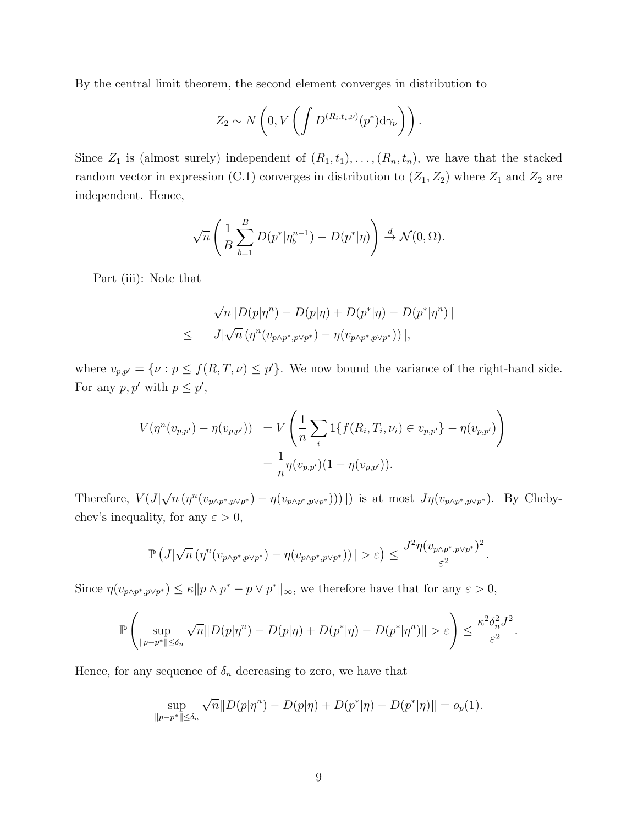By the central limit theorem, the second element converges in distribution to

$$
Z_2 \sim N\left(0, V\left(\int D^{(R_i, t_i, \nu)}(p^*) \mathrm{d}\gamma_{\nu}\right)\right).
$$

Since  $Z_1$  is (almost surely) independent of  $(R_1, t_1), \ldots, (R_n, t_n)$ , we have that the stacked random vector in expression (C.1) converges in distribution to  $(Z_1, Z_2)$  where  $Z_1$  and  $Z_2$  are independent. Hence,

$$
\sqrt{n}\left(\frac{1}{B}\sum_{b=1}^{B}D(p^*|\eta_b^{n-1})-D(p^*|\eta)\right)\stackrel{d}{\to}\mathcal{N}(0,\Omega).
$$

Part (iii): Note that

$$
\sqrt{n}||D(p|\eta^{n}) - D(p|\eta) + D(p^{*}|\eta) - D(p^{*}|\eta^{n})||
$$
  
\n
$$
\leq J|\sqrt{n} (\eta^{n}(v_{p\wedge p^{*}, p\vee p^{*}}) - \eta(v_{p\wedge p^{*}, p\vee p^{*}}))|,
$$

where  $v_{p,p'} = \{ \nu : p \le f(R,T,\nu) \le p' \}.$  We now bound the variance of the right-hand side. For any  $p, p'$  with  $p \leq p'$ ,

$$
V(\eta^{n}(v_{p,p'}) - \eta(v_{p,p'})) = V\left(\frac{1}{n}\sum_{i} 1\{f(R_{i}, T_{i}, \nu_{i}) \in v_{p,p'}\} - \eta(v_{p,p'})\right)
$$
  
= 
$$
\frac{1}{n}\eta(v_{p,p'})(1 - \eta(v_{p,p'})).
$$

Therefore,  $V(J|)$ √  $\overline{n}(\eta^{n}(v_{p\wedge p^*,p\vee p^*}) - \eta(v_{p\wedge p^*,p\vee p^*}))$ ) is at most  $J\eta(v_{p\wedge p^*,p\vee p^*})$ . By Chebychev's inequality, for any  $\varepsilon > 0$ ,

$$
\mathbb{P}\left(J|\sqrt{n}\left(\eta^n(v_{p\wedge p^*, p\vee p^*}) - \eta(v_{p\wedge p^*, p\vee p^*})\right)\right| > \varepsilon\right) \leq \frac{J^2\eta(v_{p\wedge p^*, p\vee p^*})^2}{\varepsilon^2}.
$$

Since  $\eta(v_{p \wedge p^*, p \vee p^*}) \leq \kappa ||p \wedge p^* - p \vee p^*||_{\infty}$ , we therefore have that for any  $\varepsilon > 0$ ,

$$
\mathbb{P}\left(\sup_{\|p-p^*\|\leq\delta_n}\sqrt{n}\|D(p|\eta^n)-D(p|\eta)+D(p^*|\eta)-D(p^*|\eta^n)\|>\varepsilon\right)\leq\frac{\kappa^2\delta_n^2J^2}{\varepsilon^2}.
$$

Hence, for any sequence of  $\delta_n$  decreasing to zero, we have that

$$
\sup_{\|p-p^*\| \le \delta_n} \sqrt{n} \|D(p|\eta^n) - D(p|\eta) + D(p^*|\eta) - D(p^*|\eta) \| = o_p(1).
$$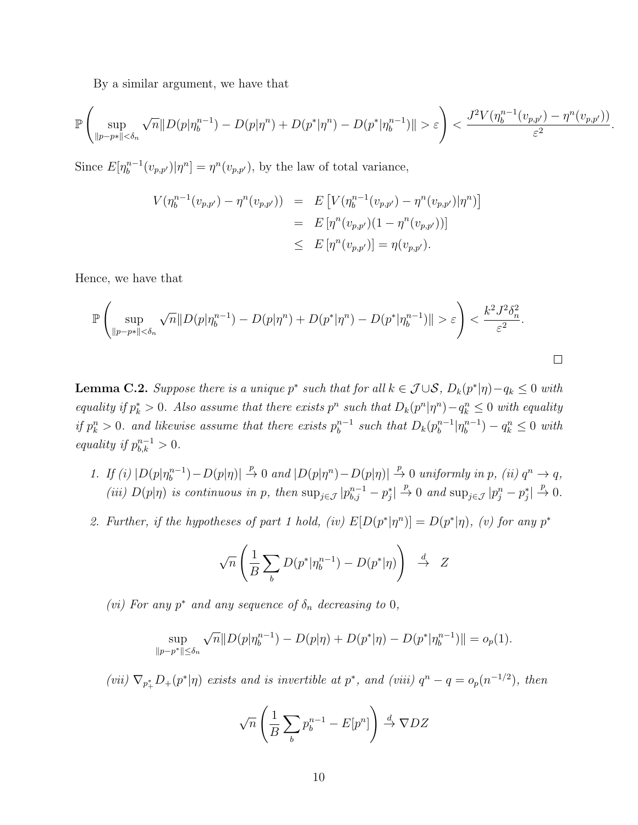By a similar argument, we have that

$$
\mathbb{P}\left(\sup_{\|p-p*\|<\delta_n} \sqrt{n} \|D(p|\eta_b^{n-1}) - D(p|\eta^n) + D(p^*|\eta^n) - D(p^*|\eta_b^{n-1})\| > \varepsilon\right) < \frac{J^2 V(\eta_b^{n-1}(v_{p,p'}) - \eta^n(v_{p,p'}))}{\varepsilon^2}
$$

.

 $\Box$ 

Since  $E[\eta_h^{n-1}]$  $b_b^{n-1}(v_{p,p'})|\eta^n] = \eta^n(v_{p,p'})$ , by the law of total variance,

$$
V(\eta_b^{n-1}(v_{p,p'}) - \eta^n(v_{p,p'})) = E[V(\eta_b^{n-1}(v_{p,p'}) - \eta^n(v_{p,p'})|\eta^n)]
$$
  
= 
$$
E[\eta^n(v_{p,p'})(1 - \eta^n(v_{p,p'}))]
$$
  

$$
\leq E[\eta^n(v_{p,p'})] = \eta(v_{p,p'}).
$$

Hence, we have that

$$
\mathbb{P}\left(\sup_{\|p-p*\|<\delta_n} \sqrt{n} \|D(p|\eta_b^{n-1}) - D(p|\eta^n) + D(p^*|\eta^n) - D(p^*|\eta_b^{n-1})\| > \varepsilon\right) < \frac{k^2 J^2 \delta_n^2}{\varepsilon^2}.
$$

**Lemma C.2.** Suppose there is a unique  $p^*$  such that for all  $k \in \mathcal{J} \cup \mathcal{S}$ ,  $D_k(p^*|\eta) - q_k \leq 0$  with equality if  $p_k^* > 0$ . Also assume that there exists  $p^n$  such that  $D_k(p^n | \eta^n) - q_k^n \leq 0$  with equality if  $p_k^n > 0$ . and likewise assume that there exists  $p_b^{n-1}$  $_{b}^{n-1}$  such that  $D_k(p_b^{n-1})$  $_{b}^{n-1}$ | $\eta_{b}^{n-1}$  $\binom{n-1}{b} - q_k^n \leq 0$  with equality if  $p_{b,k}^{n-1} > 0$ .

- 1. If (i)  $|D(p|\eta_h^{n-1})|$  $\binom{n-1}{b} - D(p|\eta)| \stackrel{p}{\to} 0$  and  $|D(p|\eta^n) - D(p|\eta)| \stackrel{p}{\to} 0$  uniformly in p, (ii)  $q^n \to q$ , (iii)  $D(p|\eta)$  is continuous in p, then  $\sup_{j\in\mathcal{J}}|p_{b,j}^{n-1}-p_j^*|\overset{p}{\to}0$  and  $\sup_{j\in\mathcal{J}}|p_j^n-p_j^*|\overset{p}{\to}0$ .
- 2. Further, if the hypotheses of part 1 hold, (iv)  $E[D(p^*|\eta^n)] = D(p^*|\eta)$ , (v) for any  $p^*$

$$
\sqrt{n}\left(\frac{1}{B}\sum_{b} D(p^*|\eta_b^{n-1}) - D(p^*|\eta)\right) \stackrel{d}{\to} Z
$$

(vi) For any  $p^*$  and any sequence of  $\delta_n$  decreasing to 0,

$$
\sup_{\|p-p^*\| \le \delta_n} \sqrt{n} \|D(p|\eta_b^{n-1}) - D(p|\eta) + D(p^*|\eta) - D(p^*|\eta_b^{n-1})\| = o_p(1).
$$

(vii)  $\nabla_{p_+^*}D_+(p^*|\eta)$  exists and is invertible at  $p^*$ , and (viii)  $q^n - q = o_p(n^{-1/2})$ , then

$$
\sqrt{n}\left(\frac{1}{B}\sum_{b}p_{b}^{n-1}-E[p^{n}]\right)\stackrel{d}{\to}\nabla DZ
$$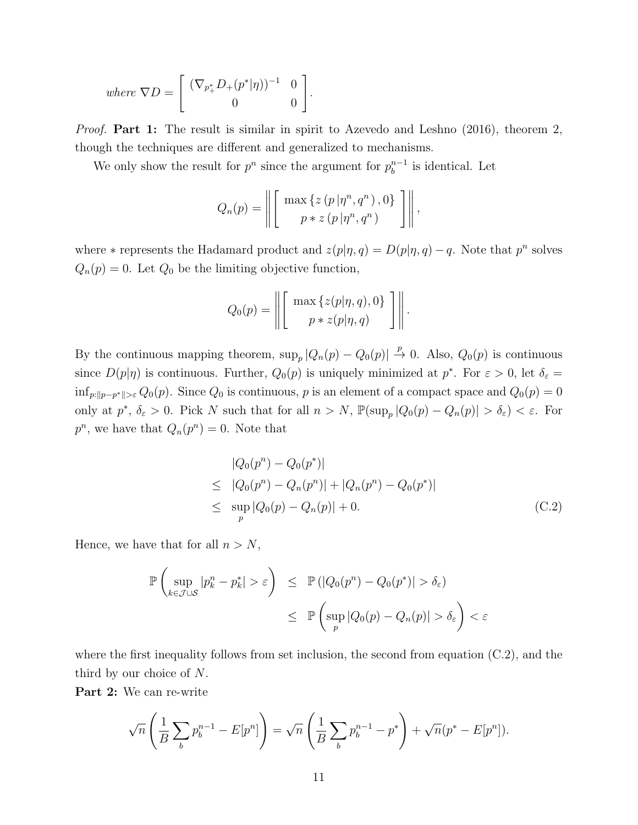where 
$$
\nabla D = \begin{bmatrix} (\nabla_{p_+^*} D_+(p^*|\eta))^{-1} & 0 \\ 0 & 0 \end{bmatrix}
$$
.

*Proof.* Part 1: The result is similar in spirit to Azevedo and Leshno  $(2016)$ , theorem 2, though the techniques are different and generalized to mechanisms.

We only show the result for  $p^n$  since the argument for  $p_b^{n-1}$  $b^{n-1}$  is identical. Let

$$
Q_n(p) = \left\| \left[ \begin{array}{c} \max \left\{ z \left( p \left| \eta^n, q^n \right. \right), 0 \right\} \\ p * z \left( p \left| \eta^n, q^n \right. \right) \end{array} \right] \right\|,
$$

where  $*$  represents the Hadamard product and  $z(p|\eta, q) = D(p|\eta, q) - q$ . Note that  $p^n$  solves  $Q_n(p) = 0$ . Let  $Q_0$  be the limiting objective function,

$$
Q_0(p) = \left\| \left[ \begin{array}{c} \max\left\{ z(p|\eta, q), 0 \right\} \\ p * z(p|\eta, q) \end{array} \right] \right\|.
$$

By the continuous mapping theorem,  $\sup_p |Q_n(p) - Q_0(p)| \stackrel{p}{\to} 0$ . Also,  $Q_0(p)$  is continuous since  $D(p|\eta)$  is continuous. Further,  $Q_0(p)$  is uniquely minimized at  $p^*$ . For  $\varepsilon > 0$ , let  $\delta_{\varepsilon} =$  $\inf_{p:\|p-p^*\|>\varepsilon} Q_0(p)$ . Since  $Q_0$  is continuous, p is an element of a compact space and  $Q_0(p)=0$ only at  $p^*, \delta_{\varepsilon} > 0$ . Pick N such that for all  $n > N$ ,  $\mathbb{P}(\sup_{p} |Q_0(p) - Q_n(p)| > \delta_{\varepsilon}) < \varepsilon$ . For  $p^n$ , we have that  $Q_n(p^n) = 0$ . Note that

$$
|Q_0(p^n) - Q_0(p^*)|
$$
  
\n
$$
\leq |Q_0(p^n) - Q_n(p^n)| + |Q_n(p^n) - Q_0(p^*)|
$$
  
\n
$$
\leq \sup_p |Q_0(p) - Q_n(p)| + 0.
$$
 (C.2)

Hence, we have that for all  $n > N$ ,

$$
\mathbb{P}\left(\sup_{k\in\mathcal{J}\cup\mathcal{S}}|p_k^n - p_k^*| > \varepsilon\right) \leq \mathbb{P}\left(|Q_0(p^n) - Q_0(p^*)| > \delta_{\varepsilon}\right)
$$
  

$$
\leq \mathbb{P}\left(\sup_p|Q_0(p) - Q_n(p)| > \delta_{\varepsilon}\right) < \varepsilon
$$

where the first inequality follows from set inclusion, the second from equation  $(C.2)$ , and the third by our choice of N.

Part 2: We can re-write

$$
\sqrt{n}\left(\frac{1}{B}\sum_{b}p_{b}^{n-1} - E[p^{n}]\right) = \sqrt{n}\left(\frac{1}{B}\sum_{b}p_{b}^{n-1} - p^{*}\right) + \sqrt{n}(p^{*} - E[p^{n}]).
$$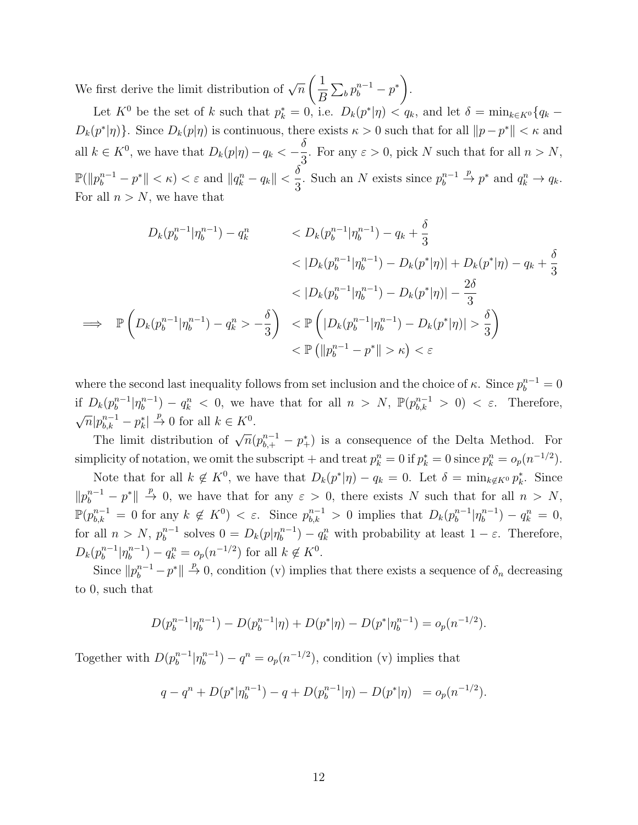We first derive the limit distribution of  $\sqrt{n}$  $\sqrt{1}$ B  $\sum_b p_b^{n-1} - p^*$ .

Let  $K^0$  be the set of k such that  $p_k^* = 0$ , i.e.  $D_k(p^*|\eta) < q_k$ , and let  $\delta = \min_{k \in K^0} \{q_k - \eta\}$  $D_k(p^*|\eta)$ . Since  $D_k(p|\eta)$  is continuous, there exists  $\kappa > 0$  such that for all  $||p - p^*|| < \kappa$  and all  $k \in K^0$ , we have that  $D_k(p|\eta) - q_k < -\frac{\delta}{2}$ 3 . For any  $\varepsilon > 0$ , pick N such that for all  $n > N$ ,  $\mathbb{P}(\|p_b^{n-1}-p^*\|<\kappa)<\varepsilon\text{ and }\|q_k^n-q_k\|<\frac{\delta}{2}$ 3 . Such an N exists since  $p_h^{n-1}$  $b^{n-1} \stackrel{p}{\rightarrow} p^*$  and  $q_k^n \rightarrow q_k$ . For all  $n > N$ , we have that

$$
D_k(p_b^{n-1}|\eta_b^{n-1}) - q_k^n \t D_k(p_b^{n-1}|\eta_b^{n-1}) - q_k + \frac{\delta}{3}
$$
  

$$
< D_k(p_b^{n-1}|\eta_b^{n-1}) - D_k(p^*|\eta) + D_k(p^*|\eta) - q_k + \frac{\delta}{3}
$$
  

$$
\Rightarrow \mathbb{P}\left(D_k(p_b^{n-1}|\eta_b^{n-1}) - q_k^n > -\frac{\delta}{3}\right) \le \mathbb{P}\left(|D_k(p_b^{n-1}|\eta_b^{n-1}) - D_k(p^*|\eta)| > \frac{\delta}{3}\right)
$$
  

$$
< \mathbb{P}\left(|p_b^{n-1} - p^*| > \kappa\right) < \varepsilon
$$

where the second last inequality follows from set inclusion and the choice of  $\kappa$ . Since  $p_b^{n-1} = 0$ if  $D_k(p_b^{n-1})$  $_{b}^{n-1}$ | $\eta_{b}^{n-1}$ if  $D_k(p_b^{n-1}|\eta_b^{n-1}) - q_k^n < 0$ , we have that for all  $n > N$ ,  $\mathbb{P}(p_{b,k}^{n-1} > 0) < \varepsilon$ . Therefore,  $\overline{n}|p_{b,k}^{n-1}-p_{k}^{*}| \stackrel{p}{\to} 0$  for all  $k \in K^{0}$ .

The limit distribution of  $\sqrt{n}(p_{b,+}^{n-1} - p_{+}^{*})$  is a consequence of the Delta Method. For simplicity of notation, we omit the subscript + and treat  $p_k^n = 0$  if  $p_k^* = 0$  since  $p_k^n = o_p(n^{-1/2})$ .

Note that for all  $k \notin K^0$ , we have that  $D_k(p^*|\eta) - q_k = 0$ . Let  $\delta = \min_{k \notin K^0} p_k^*$ . Since  $||p_b^{n-1}-p^*|| \stackrel{p}{\to} 0$ , we have that for any  $\varepsilon > 0$ , there exists N such that for all  $n > N$ ,  $\mathbb{P}(p_{b,k}^{n-1} = 0 \text{ for any } k \notin K^0) < \varepsilon.$  Since  $p_{b,k}^{n-1} > 0$  implies that  $D_k(p_b^{n-1})$  $\int_{b}^{n-1} |\eta_{b}^{n-1}$  $\binom{n-1}{b} - q_k^n = 0,$ for all  $n > N$ ,  $p_h^{n-1}$  $b_b^{n-1}$  solves  $0 = D_k(p|\eta_b^{n-1})$  $\binom{n-1}{b} - q_k^n$  with probability at least  $1 - \varepsilon$ . Therefore,  $D_k(p_b^{n-1})$  $_{b}^{n-1}$ | $\eta_{b}^{n-1}$  $b^{n-1}_{b}$ ) –  $q_k^n = o_p(n^{-1/2})$  for all  $k \notin K^0$ .

Since  $||p_b^{n-1} - p^*|| \stackrel{p}{\to} 0$ , condition (v) implies that there exists a sequence of  $\delta_n$  decreasing to 0, such that

$$
D(p_b^{n-1}|\eta_b^{n-1}) - D(p_b^{n-1}|\eta) + D(p^*|\eta) - D(p^*|\eta_b^{n-1}) = o_p(n^{-1/2}).
$$

Together with  $D(p_h^{n-1})$  $_{b}^{n-1}$ | $\eta_{b}^{n-1}$  $b^{n-1}$ ) –  $q^n = o_p(n^{-1/2})$ , condition (v) implies that

$$
q - q^{n} + D(p^{*}|\eta_{b}^{n-1}) - q + D(p_{b}^{n-1}|\eta) - D(p^{*}|\eta) = o_{p}(n^{-1/2}).
$$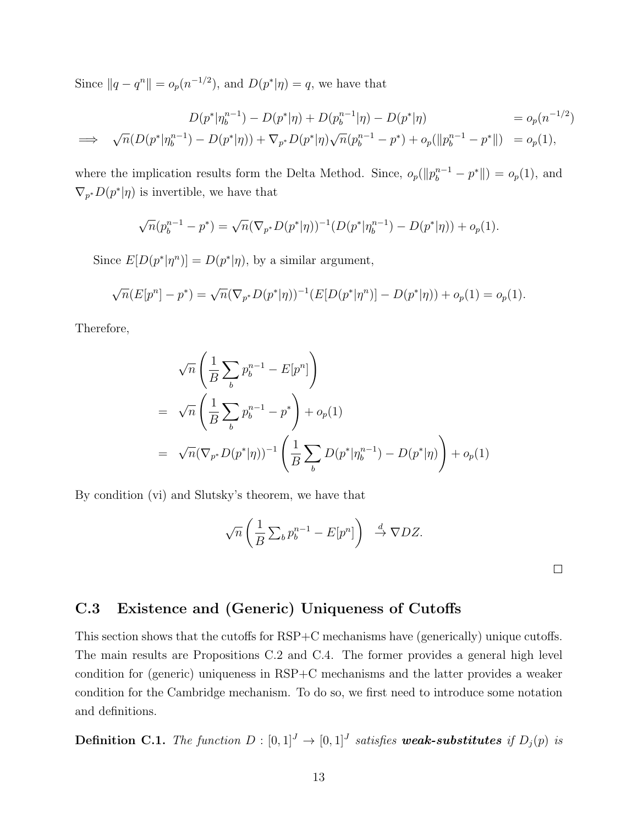Since  $||q - q^n|| = o_p(n^{-1/2})$ , and  $D(p^*|\eta) = q$ , we have that

$$
D(p^*|\eta_b^{n-1}) - D(p^*|\eta) + D(p_b^{n-1}|\eta) - D(p^*|\eta) = o_p(n^{-1/2})
$$
  
\n
$$
\implies \sqrt{n}(D(p^*|\eta_b^{n-1}) - D(p^*|\eta)) + \nabla_{p^*}D(p^*|\eta)\sqrt{n}(p_b^{n-1} - p^*) + o_p(||p_b^{n-1} - p^*||) = o_p(1),
$$

where the implication results form the Delta Method. Since,  $o_p(||p_b^{n-1} - p^*||) = o_p(1)$ , and  $\nabla_{p^*} D(p^*|\eta)$  is invertible, we have that

$$
\sqrt{n}(p_b^{n-1} - p^*) = \sqrt{n}(\nabla_{p^*}D(p^*|\eta))^{-1}(D(p^*|\eta_b^{n-1}) - D(p^*|\eta)) + o_p(1).
$$

Since  $E[D(p^*|\eta^n)] = D(p^*|\eta)$ , by a similar argument,

$$
\sqrt{n}(E[p^n] - p^*) = \sqrt{n}(\nabla_{p^*}D(p^*|\eta))^{-1}(E[D(p^*|\eta^n)] - D(p^*|\eta)) + o_p(1) = o_p(1).
$$

Therefore,

$$
\sqrt{n} \left( \frac{1}{B} \sum_{b} p_{b}^{n-1} - E[p^{n}] \right)
$$
  
=  $\sqrt{n} \left( \frac{1}{B} \sum_{b} p_{b}^{n-1} - p^{*} \right) + o_{p}(1)$   
=  $\sqrt{n} (\nabla_{p^{*}} D(p^{*}|\eta))^{-1} \left( \frac{1}{B} \sum_{b} D(p^{*}|\eta_{b}^{n-1}) - D(p^{*}|\eta) \right) + o_{p}(1)$ 

By condition (vi) and Slutsky's theorem, we have that

$$
\sqrt{n}\left(\frac{1}{B}\sum_b p_b^{n-1} - E[p^n]\right) \stackrel{d}{\to} \nabla DZ.
$$

 $\Box$ 

# C.3 Existence and (Generic) Uniqueness of Cutoffs

This section shows that the cutoffs for RSP+C mechanisms have (generically) unique cutoffs. The main results are Propositions C.2 and C.4. The former provides a general high level condition for (generic) uniqueness in RSP+C mechanisms and the latter provides a weaker condition for the Cambridge mechanism. To do so, we first need to introduce some notation and definitions.

**Definition C.1.** The function  $D : [0,1]^J \to [0,1]^J$  satisfies weak-substitutes if  $D_j(p)$  is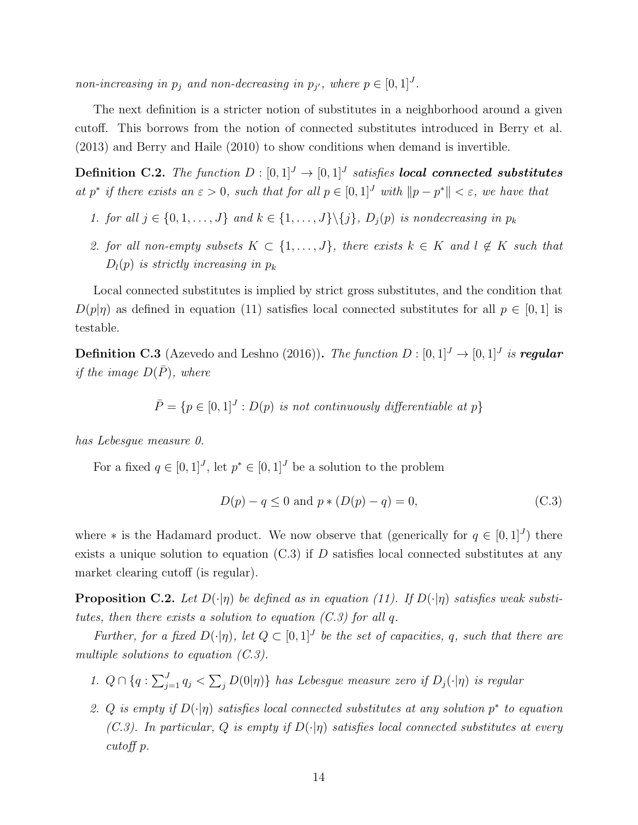non-increasing in  $p_j$  and non-decreasing in  $p_{j'}$ , where  $p \in [0,1]^J$ .

The next definition is a stricter notion of substitutes in a neighborhood around a given cutoff. This borrows from the notion of connected substitutes introduced in Berry et al. (2013) and Berry and Haile (2010) to show conditions when demand is invertible.

**Definition C.2.** The function  $D : [0,1]^J \rightarrow [0,1]^J$  satisfies **local connected substitutes** at p<sup>\*</sup> if there exists an  $\varepsilon > 0$ , such that for all  $p \in [0,1]^J$  with  $||p - p^*|| < \varepsilon$ , we have that

- 1. for all  $j \in \{0, 1, \ldots, J\}$  and  $k \in \{1, \ldots, J\} \setminus \{j\}$ ,  $D_i(p)$  is nondecreasing in  $p_k$
- 2. for all non-empty subsets  $K \subset \{1,\ldots,J\}$ , there exists  $k \in K$  and  $l \notin K$  such that  $D_l(p)$  is strictly increasing in  $p_k$

Local connected substitutes is implied by strict gross substitutes, and the condition that  $D(p|\eta)$  as defined in equation (11) satisfies local connected substitutes for all  $p \in [0,1]$  is testable.

**Definition C.3** (Azevedo and Leshno (2016)). The function  $D : [0,1]^J \to [0,1]^J$  is regular if the image  $D(\bar{P})$ , where

 $\overline{P} = \{p \in [0,1]^J : D(p)$  is not continuously differentiable at p

has Lebesgue measure 0.

For a fixed  $q \in [0,1]^J$ , let  $p^* \in [0,1]^J$  be a solution to the problem

$$
D(p) - q \le 0 \text{ and } p * (D(p) - q) = 0,
$$
\n(C.3)

where \* is the Hadamard product. We now observe that (generically for  $q \in [0,1]^J$ ) there exists a unique solution to equation  $(C.3)$  if D satisfies local connected substitutes at any market clearing cutoff (is regular).

**Proposition C.2.** Let  $D(\cdot|\eta)$  be defined as in equation (11). If  $D(\cdot|\eta)$  satisfies weak substitutes, then there exists a solution to equation  $(C.3)$  for all q.

Further, for a fixed  $D(\cdot|\eta)$ , let  $Q \subset [0,1]^J$  be the set of capacities, q, such that there are multiple solutions to equation  $(C.3)$ .

- 1.  $Q \cap \{q : \sum_{j=1}^{J} q_j < \sum_j D(0|\eta)\}\$  has Lebesgue measure zero if  $D_j(\cdot|\eta)$  is regular
- 2. Q is empty if  $D(\cdot|\eta)$  satisfies local connected substitutes at any solution  $p^*$  to equation (C.3). In particular, Q is empty if  $D(\cdot|\eta)$  satisfies local connected substitutes at every cutoff p.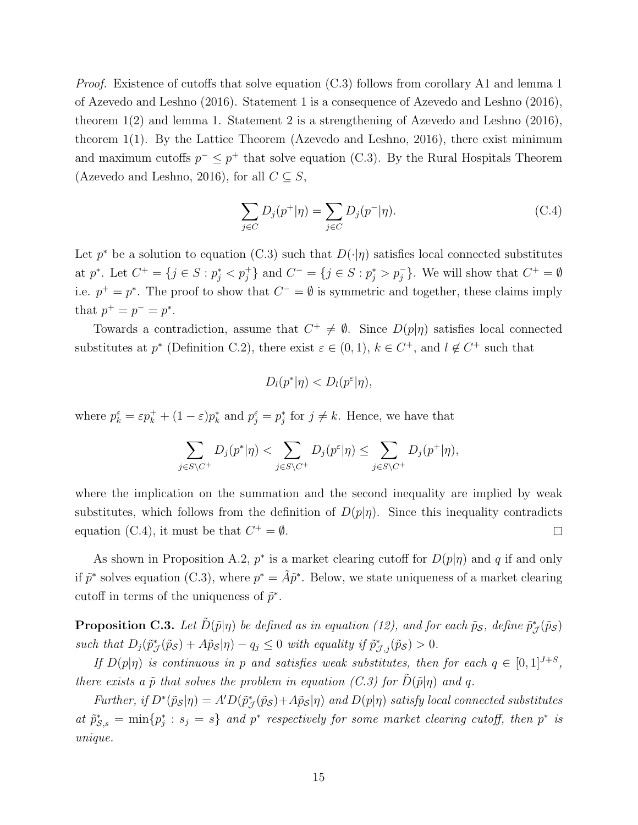*Proof.* Existence of cutoffs that solve equation  $(C.3)$  follows from corollary A1 and lemma 1 of Azevedo and Leshno (2016). Statement 1 is a consequence of Azevedo and Leshno (2016), theorem 1(2) and lemma 1. Statement 2 is a strengthening of Azevedo and Leshno (2016), theorem 1(1). By the Lattice Theorem (Azevedo and Leshno, 2016), there exist minimum and maximum cutoffs  $p^{-} \leq p^{+}$  that solve equation (C.3). By the Rural Hospitals Theorem (Azevedo and Leshno, 2016), for all  $C \subseteq S$ ,

$$
\sum_{j \in C} D_j(p^+|\eta) = \sum_{j \in C} D_j(p^-|\eta). \tag{C.4}
$$

Let  $p^*$  be a solution to equation (C.3) such that  $D(\cdot|\eta)$  satisfies local connected substitutes at  $p^*$ . Let  $C^+ = \{j \in S : p_j^* < p_j^*\}$  and  $C^- = \{j \in S : p_j^* > p_j^-\}$ . We will show that  $C^+ = \emptyset$ i.e.  $p^+ = p^*$ . The proof to show that  $C^- = \emptyset$  is symmetric and together, these claims imply that  $p^+ = p^- = p^*$ .

Towards a contradiction, assume that  $C^+ \neq \emptyset$ . Since  $D(p|\eta)$  satisfies local connected substitutes at  $p^*$  (Definition C.2), there exist  $\varepsilon \in (0,1)$ ,  $k \in C^+$ , and  $l \notin C^+$  such that

$$
D_l(p^*|\eta) < D_l(p^\varepsilon|\eta),
$$

where  $p_k^{\varepsilon} = \varepsilon p_k^+ + (1 - \varepsilon) p_k^*$  and  $p_j^{\varepsilon} = p_j^*$  for  $j \neq k$ . Hence, we have that

$$
\sum_{j \in S \setminus C^+} D_j(p^*|\eta) < \sum_{j \in S \setminus C^+} D_j(p^{\varepsilon}|\eta) \leq \sum_{j \in S \setminus C^+} D_j(p^+|\eta),
$$

where the implication on the summation and the second inequality are implied by weak substitutes, which follows from the definition of  $D(p|\eta)$ . Since this inequality contradicts equation (C.4), it must be that  $C^+ = \emptyset$ .  $\Box$ 

As shown in Proposition A.2,  $p^*$  is a market clearing cutoff for  $D(p|\eta)$  and q if and only if  $\tilde{p}^*$  solves equation (C.3), where  $p^* = \tilde{A}\tilde{p}^*$ . Below, we state uniqueness of a market clearing cutoff in terms of the uniqueness of  $\tilde{p}^*$ .

**Proposition C.3.** Let  $\tilde{D}(\tilde{p}|\eta)$  be defined as in equation (12), and for each  $\tilde{p}_{\mathcal{S}}$ , define  $\tilde{p}_{\mathcal{J}}^*(\tilde{p}_{\mathcal{S}})$ such that  $D_j(\tilde{p}^*_{\mathcal{J}}(\tilde{p}_{\mathcal{S}}) + A\tilde{p}_{\mathcal{S}}|\eta) - q_j \leq 0$  with equality if  $\tilde{p}^*_{\mathcal{J},j}(\tilde{p}_{\mathcal{S}}) > 0$ .

If  $D(p|\eta)$  is continuous in p and satisfies weak substitutes, then for each  $q \in [0,1]^{J+S}$ , there exists a  $\tilde{p}$  that solves the problem in equation (C.3) for  $\tilde{D}(\tilde{p}|\eta)$  and q.

Further, if  $D^*(\tilde{p}_S|\eta) = A'D(\tilde{p}_{\mathcal{J}}^*(\tilde{p}_S) + A\tilde{p}_S|\eta)$  and  $D(p|\eta)$  satisfy local connected substitutes at  $\tilde{p}_{\mathcal{S},s}^* = \min\{p_j^*: s_j = s\}$  and  $p^*$  respectively for some market clearing cutoff, then  $p^*$  is unique.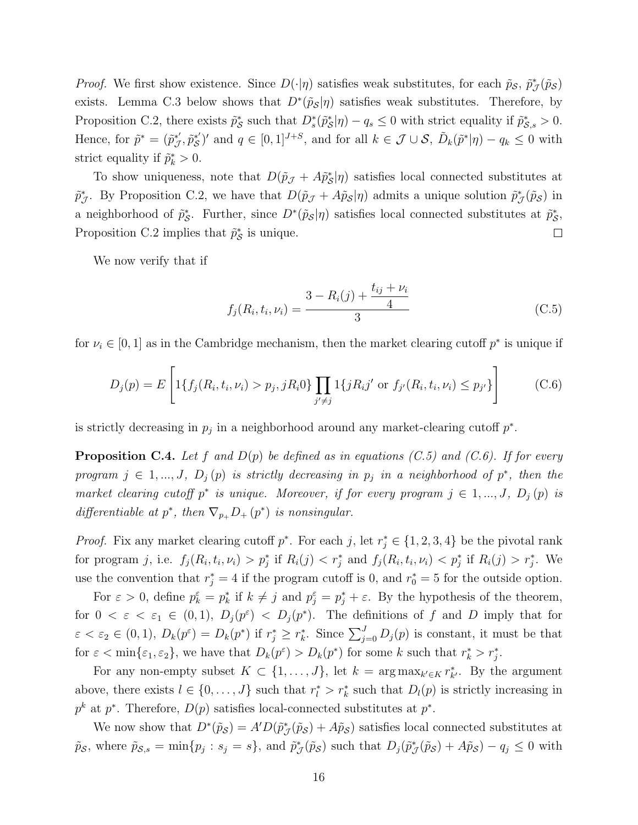*Proof.* We first show existence. Since  $D(\cdot|\eta)$  satisfies weak substitutes, for each  $\tilde{p}_{\mathcal{S}}, \tilde{p}_{\mathcal{J}}^*(\tilde{p}_{\mathcal{S}})$ exists. Lemma C.3 below shows that  $D^*(\tilde{p}_s|\eta)$  satisfies weak substitutes. Therefore, by Proposition C.2, there exists  $\tilde{p}_{\mathcal{S}}^*$  such that  $D_s^*(\tilde{p}_{\mathcal{S}}^*|\eta) - q_s \leq 0$  with strict equality if  $\tilde{p}_{\mathcal{S},s}^* > 0$ . Hence, for  $\tilde{p}^* = (\tilde{p}^*_{\tilde{J}})$  $j^*, \tilde{p}^{*'}_{\mathcal{S}}$  $S'$  and  $q \in [0,1]^{J+S}$ , and for all  $k \in \mathcal{J} \cup \mathcal{S}$ ,  $\tilde{D}_k(\tilde{p}^*|\eta) - q_k \leq 0$  with strict equality if  $\tilde{p}_k^* > 0$ .

To show uniqueness, note that  $D(\tilde{p}_{\mathcal{J}} + A\tilde{p}_{\mathcal{S}}^* | \eta)$  satisfies local connected substitutes at  $\tilde{p}^*_{\mathcal{J}}$ . By Proposition C.2, we have that  $D(\tilde{p}_{\mathcal{J}}+A\tilde{p}_{\mathcal{S}}|\eta)$  admits a unique solution  $\tilde{p}^*_{\mathcal{J}}(\tilde{p}_{\mathcal{S}})$  in a neighborhood of  $\tilde{p}^*_s$ . Further, since  $D^*(\tilde{p}_s|\eta)$  satisfies local connected substitutes at  $\tilde{p}^*_s$ , Proposition C.2 implies that  $\tilde{p}_{\mathcal{S}}^*$  is unique.  $\Box$ 

We now verify that if

$$
f_j(R_i, t_i, \nu_i) = \frac{3 - R_i(j) + \frac{t_{ij} + \nu_i}{4}}{3}
$$
 (C.5)

for  $\nu_i \in [0, 1]$  as in the Cambridge mechanism, then the market clearing cutoff  $p^*$  is unique if

$$
D_j(p) = E\left[1\{f_j(R_i, t_i, \nu_i) > p_j, jR_i0\}\prod_{j' \neq j} 1\{jR_i j' \text{ or } f_{j'}(R_i, t_i, \nu_i) \leq p_{j'}\}\right]
$$
(C.6)

is strictly decreasing in  $p_j$  in a neighborhood around any market-clearing cutoff  $p^*$ .

**Proposition C.4.** Let f and  $D(p)$  be defined as in equations (C.5) and (C.6). If for every program  $j \in 1, ..., J$ ,  $D_j(p)$  is strictly decreasing in  $p_j$  in a neighborhood of  $p^*$ , then the market clearing cutoff  $p^*$  is unique. Moreover, if for every program  $j \in 1, ..., J$ ,  $D_j(p)$  is differentiable at  $p^*$ , then  $\nabla_{p_+} D_+ (p^*)$  is nonsingular.

*Proof.* Fix any market clearing cutoff  $p^*$ . For each j, let  $r_j^* \in \{1, 2, 3, 4\}$  be the pivotal rank for program j, i.e.  $f_j(R_i, t_i, \nu_i) > p_j^*$  if  $R_i(j) < r_j^*$  and  $f_j(R_i, t_i, \nu_i) < p_j^*$  if  $R_i(j) > r_j^*$ . We use the convention that  $r_j^* = 4$  if the program cutoff is 0, and  $r_0^* = 5$  for the outside option.

For  $\varepsilon > 0$ , define  $p_k^{\varepsilon} = p_k^*$  if  $k \neq j$  and  $p_j^{\varepsilon} = p_j^* + \varepsilon$ . By the hypothesis of the theorem, for  $0 < \varepsilon < \varepsilon_1 \in (0,1), D_j(p^{\varepsilon}) < D_j(p^*)$ . The definitions of f and D imply that for  $\varepsilon < \varepsilon_2 \in (0,1)$ ,  $D_k(p^{\varepsilon}) = D_k(p^*)$  if  $r_j^* \ge r_k^*$ . Since  $\sum_{j=0}^J D_j(p)$  is constant, it must be that for  $\varepsilon < \min\{\varepsilon_1, \varepsilon_2\}$ , we have that  $D_k(p^{\varepsilon}) > D_k(p^*)$  for some k such that  $r_k^* > r_j^*$ .

For any non-empty subset  $K \subset \{1, \ldots, J\}$ , let  $k = \arg \max_{k' \in K} r_{k'}^*$ . By the argument above, there exists  $l \in \{0, \ldots, J\}$  such that  $r_l^* > r_k^*$  such that  $D_l(p)$  is strictly increasing in  $p^k$  at  $p^*$ . Therefore,  $D(p)$  satisfies local-connected substitutes at  $p^*$ .

We now show that  $D^*(\tilde{p}_S) = A'D(\tilde{p}^*_J(\tilde{p}_S) + A\tilde{p}_S)$  satisfies local connected substitutes at  $\tilde{p}_{\mathcal{S},s} = \min\{p_j : s_j = s\},\$ and  $\tilde{p}_{\mathcal{J}}^*(\tilde{p}_{\mathcal{S}})$  such that  $D_j(\tilde{p}_{\mathcal{J}}^*(\tilde{p}_{\mathcal{S}}) + A\tilde{p}_{\mathcal{S}}) - q_j \leq 0$  with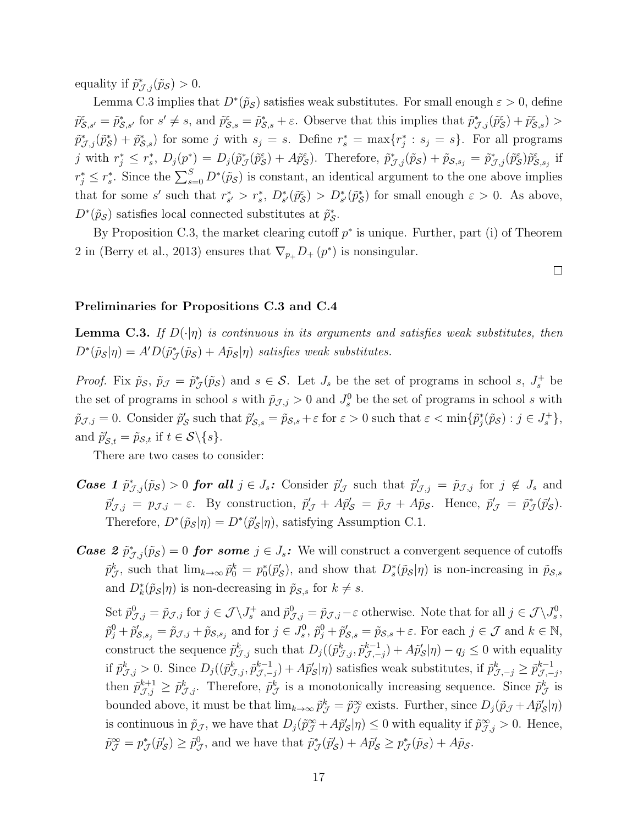equality if  $\tilde{p}^*_{\mathcal{J},j}(\tilde{p}_{\mathcal{S}}) > 0$ .

Lemma C.3 implies that  $D^*(\tilde{p}_{\mathcal{S}})$  satisfies weak substitutes. For small enough  $\varepsilon > 0$ , define  $\tilde{p}_{\mathcal{S},s'}^{\varepsilon} = \tilde{p}_{\mathcal{S},s'}^{*}$  for  $s' \neq s$ , and  $\tilde{p}_{\mathcal{S},s}^{\varepsilon} = \tilde{p}_{\mathcal{S},s}^{*} + \varepsilon$ . Observe that this implies that  $\tilde{p}_{\mathcal{J},j}^{*}(\tilde{p}_{\mathcal{S}}^{\varepsilon}) + \tilde{p}_{\mathcal{S},s}^{\varepsilon}$ ) >  $\tilde{p}_{\mathcal{J},j}^*(\tilde{p}_\mathcal{S}^*) + \tilde{p}_{\mathcal{S},s}^*$  for some j with  $s_j = s$ . Define  $r_s^* = \max\{r_j^* : s_j = s\}$ . For all programs j with  $r_j^* \leq r_s^*$ ,  $D_j(p^*) = D_j(\tilde{p}_{\mathcal{J}}^*(\tilde{p}_{\mathcal{S}}^{\varepsilon}) + A\tilde{p}_{\mathcal{S}}^{\varepsilon})$ . Therefore,  $\tilde{p}_{\mathcal{J},j}^*(\tilde{p}_{\mathcal{S}}) + \tilde{p}_{\mathcal{S},s_j} = \tilde{p}_{\mathcal{J},j}^*(\tilde{p}_{\mathcal{S}}^{\varepsilon})\tilde{p}_{\mathcal{S},s_j}^{\varepsilon}$  if  $r_j^* \leq r_s^*$ . Since the  $\sum_{s=0}^{S} D^*(\tilde{p}_{\mathcal{S}})$  is constant, an identical argument to the one above implies that for some s' such that  $r_{s'}^* > r_s^*$ ,  $D_{s'}^*(\tilde{p}_{\mathcal{S}}^*) > D_{s'}^*(\tilde{p}_{\mathcal{S}}^*)$  for small enough  $\varepsilon > 0$ . As above,  $D^*(\tilde{p}_\mathcal{S})$  satisfies local connected substitutes at  $\tilde{p}^*_\mathcal{S}$ .

By Proposition C.3, the market clearing cutoff  $p^*$  is unique. Further, part (i) of Theorem 2 in (Berry et al., 2013) ensures that  $\nabla_{p_+} D_+ (p^*)$  is nonsingular.

 $\Box$ 

#### Preliminaries for Propositions C.3 and C.4

**Lemma C.3.** If  $D(\cdot|\eta)$  is continuous in its arguments and satisfies weak substitutes, then  $D^*(\tilde{p}_{\mathcal{S}}|\eta) = A'D(\tilde{p}_{\mathcal{J}}^*(\tilde{p}_{\mathcal{S}}) + A\tilde{p}_{\mathcal{S}}|\eta)$  satisfies weak substitutes.

*Proof.* Fix  $\tilde{p}_{\mathcal{S}}$ ,  $\tilde{p}_{\mathcal{J}} = \tilde{p}_{\mathcal{J}}^*(\tilde{p}_{\mathcal{S}})$  and  $s \in \mathcal{S}$ . Let  $J_s$  be the set of programs in school s,  $J_s^+$  be the set of programs in school s with  $\tilde{p}_{J,j} > 0$  and  $J_s^0$  be the set of programs in school s with  $\tilde{p}_{\mathcal{J},j} = 0$ . Consider  $\tilde{p}'_{\mathcal{S}}$  such that  $\tilde{p}'_{\mathcal{S},s} = \tilde{p}_{\mathcal{S},s} + \varepsilon$  for  $\varepsilon > 0$  such that  $\varepsilon < \min\{\tilde{p}^*_j(\tilde{p}_{\mathcal{S}}) : j \in J^+_s\},$ and  $\tilde{p}'_{\mathcal{S},t} = \tilde{p}_{\mathcal{S},t}$  if  $t \in \mathcal{S} \backslash \{s\}.$ 

There are two cases to consider:

- **Case 1**  $\tilde{p}^*_{\mathcal{J},j}(\tilde{p}_{\mathcal{S}}) > 0$  for all  $j \in J_s$ : Consider  $\tilde{p}'_{\mathcal{J}}$  such that  $\tilde{p}'_{\mathcal{J},j} = \tilde{p}_{\mathcal{J},j}$  for  $j \notin J_s$  and  $\tilde{p}'_{\mathcal{J},j} = p_{\mathcal{J},j} - \varepsilon$ . By construction,  $\tilde{p}'_{\mathcal{J}} + A\tilde{p}'_{\mathcal{S}} = \tilde{p}_{\mathcal{J}} + A\tilde{p}_{\mathcal{S}}$ . Hence,  $\tilde{p}'_{\mathcal{J}} = \tilde{p}^*_{\mathcal{J}}(\tilde{p}'_{\mathcal{S}})$ . Therefore,  $D^*(\tilde{p}_{\mathcal{S}}|\eta) = D^*(\tilde{p}'_{\mathcal{S}}|\eta)$ , satisfying Assumption C.1.
- **Case 2**  $\tilde{p}^*_{\mathcal{J},j}(\tilde{p}_{\mathcal{S}}) = 0$  for some  $j \in J_s$ : We will construct a convergent sequence of cutoffs  $\tilde{p}^k_{\mathcal{J}}$ , such that  $\lim_{k\to\infty}\tilde{p}^k_0=p_0^*(\tilde{p}'_{\mathcal{S}})$ , and show that  $D_s^*(\tilde{p}_{\mathcal{S}}|\eta)$  is non-increasing in  $\tilde{p}_{\mathcal{S},s}$ and  $D_k^*(\tilde{p}_{\mathcal{S}}|\eta)$  is non-decreasing in  $\tilde{p}_{\mathcal{S},s}$  for  $k \neq s$ .

Set  $\tilde{p}^0_{\mathcal{J},j} = \tilde{p}_{\mathcal{J},j}$  for  $j \in \mathcal{J} \setminus J_s^+$  and  $\tilde{p}^0_{\mathcal{J},j} = \tilde{p}_{\mathcal{J},j} - \varepsilon$  otherwise. Note that for all  $j \in \mathcal{J} \setminus J_s^0$ ,  $\tilde{p}_j^0 + \tilde{p}'_{\mathcal{S},s_j} = \tilde{p}_{\mathcal{J},j} + \tilde{p}_{\mathcal{S},s_j}$  and for  $j \in J_s^0$ ,  $\tilde{p}_j^0 + \tilde{p}'_{\mathcal{S},s} = \tilde{p}_{\mathcal{S},s} + \varepsilon$ . For each  $j \in \mathcal{J}$  and  $k \in \mathbb{N}$ , construct the sequence  $\tilde{p}^k_{\mathcal{J},j}$  such that  $D_j((\tilde{p}^k_{\mathcal{J},j}, \tilde{p}^{k-1}_{\mathcal{J},-})$  $\tilde{\mathcal{J}}_{j,-j}^{k-1}$  +  $A\tilde{p}_{\mathcal{S}}'|\eta$  -  $q_j \leq 0$  with equality if  $\tilde{p}_{\mathcal{J},j}^k > 0$ . Since  $D_j((\tilde{p}_{\mathcal{J},j}^k, \tilde{p}_{\mathcal{J},-k}^{k-1})$  $(\mathcal{J},-j)+A\tilde{p}'_{\mathcal{S}}|\eta)$  satisfies weak substitutes, if  $\tilde{p}^k_{\mathcal{J},-j}\geq \tilde{p}^{k-1}_{\mathcal{J},-j}$  $_{\mathcal{J},-j}^{k-1},$ then  $\tilde{p}^{k+1}_{\mathcal{J},j} \geq \tilde{p}^k_{\mathcal{J},j}$ . Therefore,  $\tilde{p}^k_{\mathcal{J}}$  is a monotonically increasing sequence. Since  $\tilde{p}^k_{\mathcal{J}}$  is bounded above, it must be that  $\lim_{k\to\infty} \tilde{p}^k_{\mathcal{J}} = \tilde{p}^{\infty}_{\mathcal{J}}$  exists. Further, since  $D_j(\tilde{p}_{\mathcal{J}} + A\tilde{p}'_{\mathcal{S}}|\eta)$ is continuous in  $\tilde{p}_{\mathcal{J}}$ , we have that  $D_j(\tilde{p}_{\mathcal{J}}^{\infty} + A\tilde{p}'_{\mathcal{S}}|\eta) \leq 0$  with equality if  $\tilde{p}_{\mathcal{J},j}^{\infty} > 0$ . Hence,  $\tilde{p}^{\infty}_{\mathcal{J}} = p^*_{\mathcal{J}}(\tilde{p}'_{\mathcal{S}}) \geq \tilde{p}^0_{\mathcal{J}},$  and we have that  $\tilde{p}^*_{\mathcal{J}}(\tilde{p}'_{\mathcal{S}}) + A\tilde{p}'_{\mathcal{S}} \geq p^*_{\mathcal{J}}(\tilde{p}_{\mathcal{S}}) + A\tilde{p}_{\mathcal{S}}.$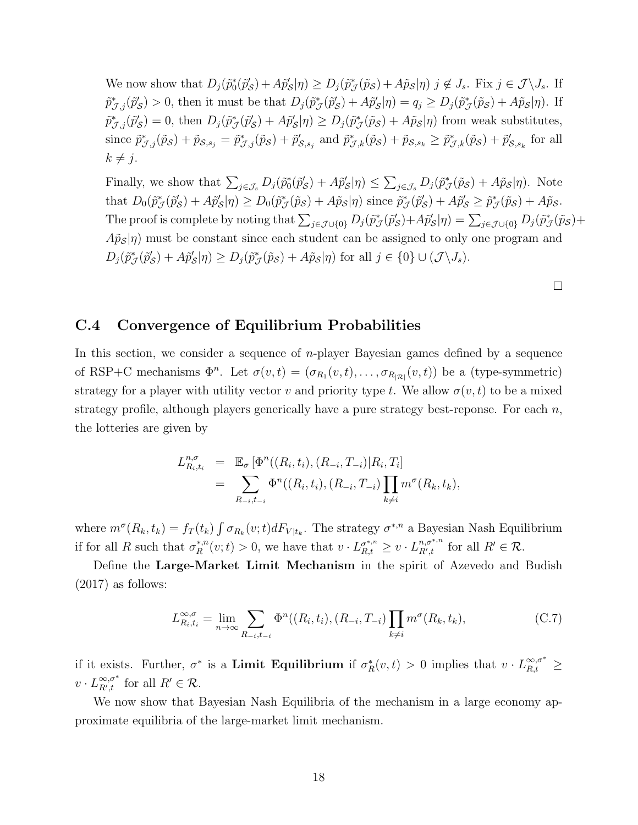We now show that  $D_j(\tilde{p}_0^*(\tilde{p}_S') + A\tilde{p}_S'|\eta) \ge D_j(\tilde{p}_J^*(\tilde{p}_S) + A\tilde{p}_S|\eta)$   $j \notin J_s$ . Fix  $j \in \mathcal{J} \setminus J_s$ . If  $\tilde{p}^*_{\mathcal{J},j}(\tilde{p}'_{\mathcal{S}}) > 0$ , then it must be that  $D_j(\tilde{p}^*_{\mathcal{J}}(\tilde{p}'_{\mathcal{S}}) + A\tilde{p}'_{\mathcal{S}}|\eta) = q_j \ge D_j(\tilde{p}^*_{\mathcal{J}}(\tilde{p}_{\mathcal{S}}) + A\tilde{p}_{\mathcal{S}}|\eta)$ . If  $\tilde{p}^*_{\mathcal{J},j}(\tilde{p}'_{\mathcal{S}}) = 0$ , then  $D_j(\tilde{p}^*_{\mathcal{J}}(\tilde{p}'_{\mathcal{S}}) + A\tilde{p}'_{\mathcal{S}}|\eta) \ge D_j(\tilde{p}^*_{\mathcal{J}}(\tilde{p}_{\mathcal{S}}) + A\tilde{p}_{\mathcal{S}}|\eta)$  from weak substitutes, since  $\tilde{p}^*_{\mathcal{J},j}(\tilde{p}_{\mathcal{S}}) + \tilde{p}_{\mathcal{S},s_j} = \tilde{p}^*_{\mathcal{J},j}(\tilde{p}_{\mathcal{S}}) + \tilde{p}'_{\mathcal{S},s_j}$  and  $\tilde{p}^*_{\mathcal{J},k}(\tilde{p}_{\mathcal{S}}) + \tilde{p}_{\mathcal{S},s_k}$   $\geq \tilde{p}^*_{\mathcal{J},k}(\tilde{p}_{\mathcal{S}}) + \tilde{p}'_{\mathcal{S},s_k}$  for all  $k \neq j$ .

Finally, we show that  $\sum_{j\in\mathcal{J}_{s}} D_j(\tilde{p}_0^*(\tilde{p}'_{\mathcal{S}}) + A\tilde{p}'_{\mathcal{S}}|\eta) \leq \sum_{j\in\mathcal{J}_{s}} D_j(\tilde{p}^*_{\mathcal{J}}(\tilde{p}_{\mathcal{S}}) + A\tilde{p}_{\mathcal{S}}|\eta)$ . Note that  $D_0(\tilde{p}^*_{\mathcal{J}}(\tilde{p}'_{\mathcal{S}}) + A\tilde{p}'_{\mathcal{S}}|\eta) \ge D_0(\tilde{p}^*_{\mathcal{J}}(\tilde{p}_{\mathcal{S}}) + A\tilde{p}_{\mathcal{S}}|\eta)$  since  $\tilde{p}^*_{\mathcal{J}}(\tilde{p}'_{\mathcal{S}}) + A\tilde{p}'_{\mathcal{S}} \ge \tilde{p}^*_{\mathcal{J}}(\tilde{p}_{\mathcal{S}}) + A\tilde{p}_{\mathcal{S}}$ . The proof is complete by noting that  $\sum_{j\in\mathcal{J}\cup\{0\}} D_j(\tilde{p}^*_{\mathcal{J}}(\tilde{p}'_{\mathcal{S}})+A\tilde{p}'_{\mathcal{S}}|\eta)=\sum_{j\in\mathcal{J}\cup\{0\}} D_j(\tilde{p}^*_{\mathcal{J}}(\tilde{p}_{\mathcal{S}})+A\tilde{p}'_{\mathcal{S}}|\eta)$  $\langle A\tilde{\rho}_{\mathcal{S}}|\eta\rangle$  must be constant since each student can be assigned to only one program and  $D_j(\tilde{p}^*_{\mathcal{J}}(\tilde{p}'_{\mathcal{S}}) + A\tilde{p}'_{\mathcal{S}}|\eta) \ge D_j(\tilde{p}^*_{\mathcal{J}}(\tilde{p}_{\mathcal{S}}) + A\tilde{p}_{\mathcal{S}}|\eta)$  for all  $j \in \{0\} \cup (\mathcal{J} \setminus J_s)$ .

 $\Box$ 

## C.4 Convergence of Equilibrium Probabilities

In this section, we consider a sequence of  $n$ -player Bayesian games defined by a sequence of RSP+C mechanisms  $\Phi^n$ . Let  $\sigma(v,t) = (\sigma_{R_1}(v,t), \ldots, \sigma_{R_{|\mathcal{R}|}}(v,t))$  be a (type-symmetric) strategy for a player with utility vector v and priority type t. We allow  $\sigma(v, t)$  to be a mixed strategy profile, although players generically have a pure strategy best-reponse. For each  $n$ , the lotteries are given by

$$
L_{R_i,t_i}^{n,\sigma} = \mathbb{E}_{\sigma} [\Phi^n((R_i,t_i), (R_{-i}, T_{-i}) | R_i, T_i] = \sum_{R_{-i},t_{-i}} \Phi^n((R_i,t_i), (R_{-i}, T_{-i}) \prod_{k \neq i} m^{\sigma}(R_k, t_k),
$$

where  $m^{\sigma}(R_k, t_k) = f_T(t_k) \int \sigma_{R_k}(v;t) dF_{V|t_k}$ . The strategy  $\sigma^{*,n}$  a Bayesian Nash Equilibrium if for all R such that  $\sigma_R^{*,n}$ \*,n<sup>n</sup> $\binom{n}{R}(v;t) > 0$ , we have that  $v \cdot L_{R,t}^{\sigma^{*,n}} \geq v \cdot L_{R',t}^{n,\sigma^{*,n}}$  $_{R',t}^{n,\sigma^{*,n}}$  for all  $R' \in \mathcal{R}$ .

Define the Large-Market Limit Mechanism in the spirit of Azevedo and Budish (2017) as follows:

$$
L_{R_i,t_i}^{\infty,\sigma} = \lim_{n \to \infty} \sum_{R_{-i},t_{-i}} \Phi^n((R_i,t_i), (R_{-i}, T_{-i}) \prod_{k \neq i} m^{\sigma}(R_k,t_k),
$$
 (C.7)

if it exists. Further,  $\sigma^*$  is a **Limit Equilibrium** if  $\sigma_R^*(v,t) > 0$  implies that  $v \cdot L_{R,t}^{\infty,\sigma^*} \geq$  $v\cdot L_{R^{\prime},t}^{\infty,\sigma^{\ast}}$  $\sum_{R',t}^{\infty,\sigma^*}$  for all  $R' \in \mathcal{R}$ .

We now show that Bayesian Nash Equilibria of the mechanism in a large economy approximate equilibria of the large-market limit mechanism.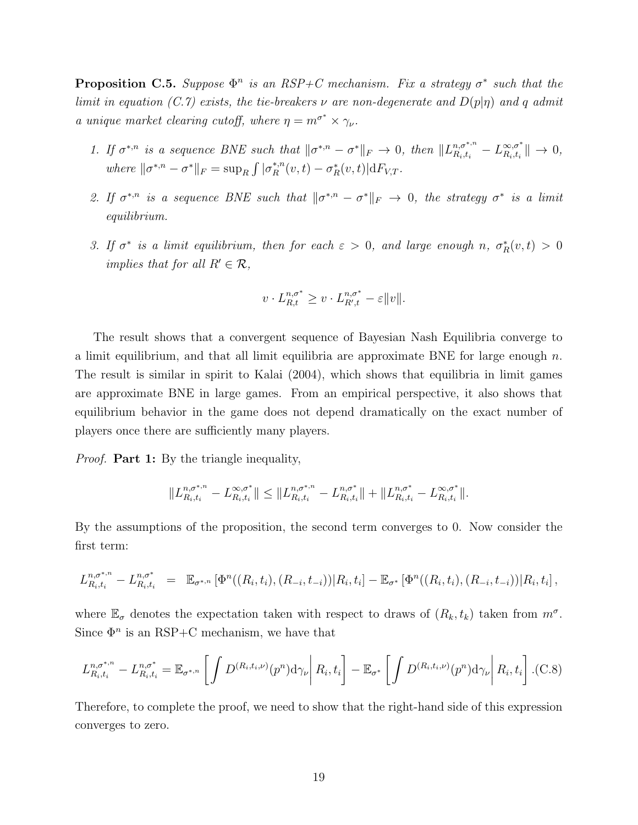**Proposition C.5.** Suppose  $\Phi^n$  is an RSP+C mechanism. Fix a strategy  $\sigma^*$  such that the limit in equation (C.7) exists, the tie-breakers  $\nu$  are non-degenerate and  $D(p|\eta)$  and q admit a unique market clearing cutoff, where  $\eta = m^{\sigma^*} \times \gamma_{\nu}$ .

- 1. If  $\sigma^{*,n}$  is a sequence BNE such that  $\|\sigma^{*,n} \sigma^*\|_F \to 0$ , then  $\|L_{R_i,t_i}^{n, \sigma^{*,n}} L_{R_i,t_i}^{\infty, \sigma^*}$  $\mathbb{R}^{\infty,\sigma^*}_{k_i,t_i}$   $\|\to 0,$ where  $\|\sigma^{*,n} - \sigma^*\|_F = \sup_R \int |\sigma_R^{*,n}|^2$  $R^{*,n}(v,t) - \sigma_R^*(v,t)|dF_{V,T}.$
- 2. If  $\sigma^{*,n}$  is a sequence BNE such that  $\|\sigma^{*,n} \sigma^*\|_F \to 0$ , the strategy  $\sigma^*$  is a limit equilibrium.
- 3. If  $\sigma^*$  is a limit equilibrium, then for each  $\varepsilon > 0$ , and large enough n,  $\sigma_R^*(v,t) > 0$ implies that for all  $R' \in \mathcal{R}$ ,

$$
v \cdot L_{R,t}^{n,\sigma^*} \ge v \cdot L_{R',t}^{n,\sigma^*} - \varepsilon ||v||.
$$

The result shows that a convergent sequence of Bayesian Nash Equilibria converge to a limit equilibrium, and that all limit equilibria are approximate BNE for large enough  $n$ . The result is similar in spirit to Kalai (2004), which shows that equilibria in limit games are approximate BNE in large games. From an empirical perspective, it also shows that equilibrium behavior in the game does not depend dramatically on the exact number of players once there are sufficiently many players.

*Proof.* **Part 1:** By the triangle inequality,

$$
||L_{R_i,t_i}^{n,\sigma^{*,n}} - L_{R_i,t_i}^{\infty,\sigma^{*}}|| \leq ||L_{R_i,t_i}^{n,\sigma^{*,n}} - L_{R_i,t_i}^{n,\sigma^{*}}|| + ||L_{R_i,t_i}^{n,\sigma^{*}} - L_{R_i,t_i}^{\infty,\sigma^{*}}||.
$$

By the assumptions of the proposition, the second term converges to 0. Now consider the first term:

$$
L_{R_i,t_i}^{n,\sigma^{*,n}} - L_{R_i,t_i}^{n,\sigma^{*}} = \mathbb{E}_{\sigma^{*,n}} \left[ \Phi^n((R_i,t_i), (R_{-i},t_{-i})) | R_i,t_i \right] - \mathbb{E}_{\sigma^{*}} \left[ \Phi^n((R_i,t_i), (R_{-i},t_{-i})) | R_i,t_i \right],
$$

where  $\mathbb{E}_{\sigma}$  denotes the expectation taken with respect to draws of  $(R_k, t_k)$  taken from  $m^{\sigma}$ . Since  $\Phi^n$  is an RSP+C mechanism, we have that

$$
L_{R_i,t_i}^{n,\sigma^{*,n}} - L_{R_i,t_i}^{n,\sigma^*} = \mathbb{E}_{\sigma^{*,n}} \left[ \int D^{(R_i,t_i,\nu)}(p^n) d\gamma_\nu \middle| R_i, t_i \right] - \mathbb{E}_{\sigma^*} \left[ \int D^{(R_i,t_i,\nu)}(p^n) d\gamma_\nu \middle| R_i, t_i \right].
$$
 (C.8)

Therefore, to complete the proof, we need to show that the right-hand side of this expression converges to zero.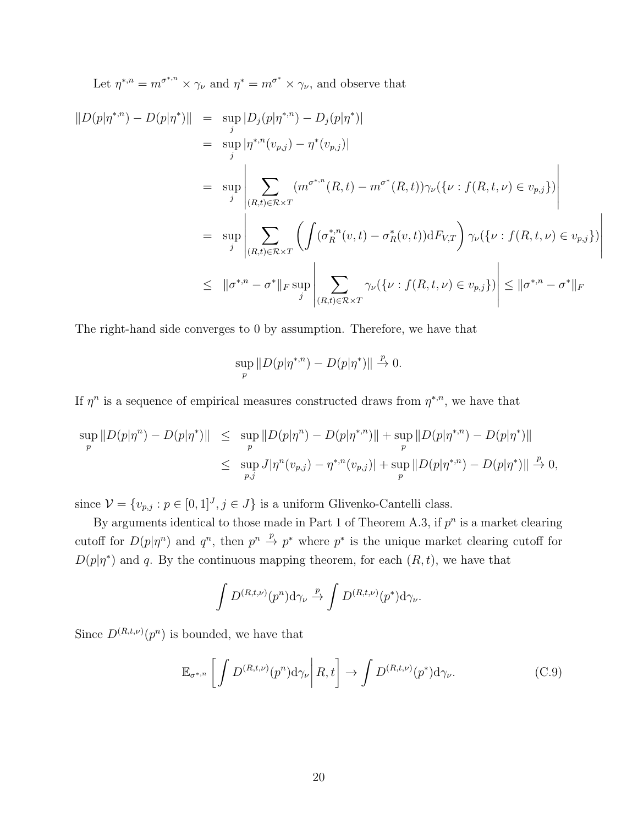Let  $\eta^{*,n} = m^{\sigma^{*,n}} \times \gamma_{\nu}$  and  $\eta^* = m^{\sigma^*} \times \gamma_{\nu}$ , and observe that

$$
||D(p|\eta^{*,n}) - D(p|\eta^{*})|| = \sup_{j} |D_j(p|\eta^{*,n}) - D_j(p|\eta^{*})|
$$
  
\n
$$
= \sup_{j} |\eta^{*,n}(v_{p,j}) - \eta^{*}(v_{p,j})|
$$
  
\n
$$
= \sup_{j} \left| \sum_{(R,t) \in \mathcal{R} \times T} (m^{\sigma^{*,n}}(R,t) - m^{\sigma^{*}}(R,t))\gamma_{\nu}(\{\nu : f(R,t,\nu) \in v_{p,j}\}) \right|
$$
  
\n
$$
= \sup_{j} \left| \sum_{(R,t) \in \mathcal{R} \times T} \left( \int (\sigma_R^{*,n}(v,t) - \sigma_R^{*}(v,t)) dF_{V,T} \right) \gamma_{\nu}(\{\nu : f(R,t,\nu) \in v_{p,j}\}) \right|
$$
  
\n
$$
\leq ||\sigma^{*,n} - \sigma^{*}||_{F} \sup_{j} \left| \sum_{(R,t) \in \mathcal{R} \times T} \gamma_{\nu}(\{\nu : f(R,t,\nu) \in v_{p,j}\}) \right| \leq ||\sigma^{*,n} - \sigma^{*}||_{F}
$$

The right-hand side converges to 0 by assumption. Therefore, we have that

$$
\sup_{p} \|D(p|\eta^{*,n}) - D(p|\eta^{*})\| \overset{p}{\to} 0.
$$

If  $\eta^n$  is a sequence of empirical measures constructed draws from  $\eta^{*,n}$ , we have that

$$
\sup_{p} \|D(p|\eta^{n}) - D(p|\eta^{*})\| \leq \sup_{p} \|D(p|\eta^{n}) - D(p|\eta^{*,n})\| + \sup_{p} \|D(p|\eta^{*,n}) - D(p|\eta^{*})\|
$$
  

$$
\leq \sup_{p,j} J|\eta^{n}(v_{p,j}) - \eta^{*,n}(v_{p,j})| + \sup_{p} \|D(p|\eta^{*,n}) - D(p|\eta^{*})\| \overset{p}{\to} 0,
$$

since  $\mathcal{V} = \{v_{p,j} : p \in [0,1]^J, j \in J\}$  is a uniform Glivenko-Cantelli class.

By arguments identical to those made in Part 1 of Theorem A.3, if  $p^n$  is a market clearing cutoff for  $D(p|\eta^n)$  and  $q^n$ , then  $p^n \stackrel{p}{\to} p^*$  where  $p^*$  is the unique market clearing cutoff for  $D(p|\eta^*)$  and q. By the continuous mapping theorem, for each  $(R, t)$ , we have that

$$
\int D^{(R,t,\nu)}(p^n) d\gamma_{\nu} \stackrel{p}{\rightarrow} \int D^{(R,t,\nu)}(p^*) d\gamma_{\nu}.
$$

Since  $D^{(R,t,\nu)}(p^n)$  is bounded, we have that

$$
\mathbb{E}_{\sigma^{*,n}}\left[\left.\int D^{(R,t,\nu)}(p^n)\mathrm{d}\gamma_{\nu}\right|R,t\right]\to\int D^{(R,t,\nu)}(p^*)\mathrm{d}\gamma_{\nu}.\tag{C.9}
$$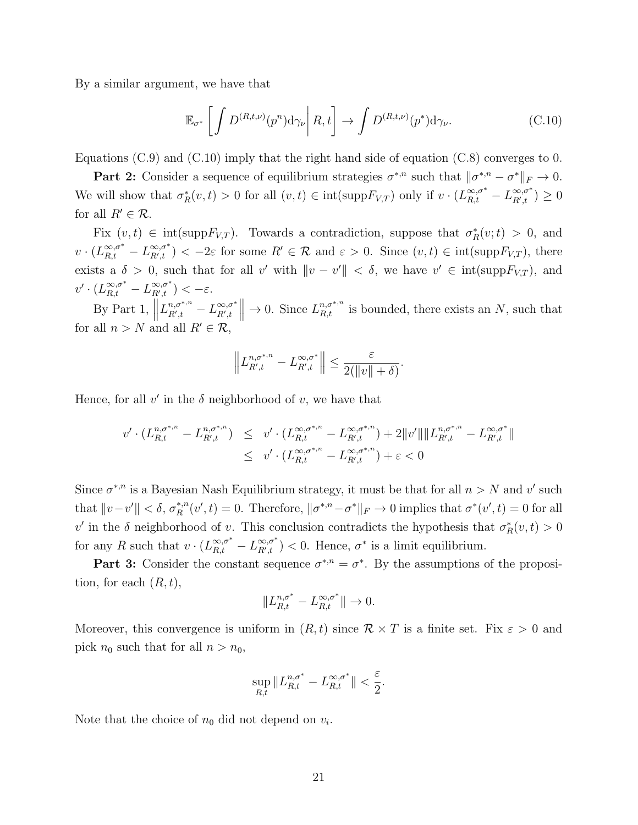By a similar argument, we have that

$$
\mathbb{E}_{\sigma^*} \left[ \int D^{(R,t,\nu)}(p^n) d\gamma_\nu \, \middle| \, R, t \right] \to \int D^{(R,t,\nu)}(p^*) d\gamma_\nu. \tag{C.10}
$$

Equations  $(C.9)$  and  $(C.10)$  imply that the right hand side of equation  $(C.8)$  converges to 0.

**Part 2:** Consider a sequence of equilibrium strategies  $\sigma^{*,n}$  such that  $\|\sigma^{*,n} - \sigma^*\|_F \to 0$ . We will show that  $\sigma_R^*(v,t) > 0$  for all  $(v,t) \in \text{int}(\text{supp} F_{V,T})$  only if  $v \cdot (L_{R,t}^{\infty,\sigma^*} - L_{R',t}^{\infty,\sigma^*})$  $_{R',t}^{\infty,\sigma^{+}})\geq0$ for all  $R' \in \mathcal{R}$ .

Fix  $(v, t) \in int(suppF_{V,T})$ . Towards a contradiction, suppose that  $\sigma_R^*(v; t) > 0$ , and  $v\cdot (L_{R,t}^{\infty,\sigma^*}-L_{R',t}^{\infty,\sigma^*})$  $\mathbb{R}^{(0)}_{R',t}$   $\leq$  -2 $\varepsilon$  for some  $R' \in \mathcal{R}$  and  $\varepsilon > 0$ . Since  $(v,t) \in \text{int}(\text{supp}F_{V,T})$ , there exists a  $\delta > 0$ , such that for all v' with  $\|v - v'\| < \delta$ , we have  $v' \in int(\text{supp} F_{V,T})$ , and  $v' \cdot (L_{R,t}^{\infty,\sigma^*} - L_{R',t}^{\infty,\sigma^*})$  $_{R',t}^{\infty,\sigma^+}) < -\varepsilon.$ 

By Part 1,  $\parallel$  $L^{n,\sigma^{*,n}}_{R',t}$  $\frac{n,\sigma^{*,n}}{R',t} - L^{\infty,\sigma^*}_{R',t}$  $\begin{array}{c} \infty,\sigma^*\ X',t \end{array}$  $\to 0$ . Since  $L_{R,t}^{n,\sigma^{*,n}}$  is bounded, there exists an N, such that for all  $n > N$  and all  $R' \in \mathcal{R}$ ,

$$
\left\|L_{R',t}^{n,\sigma^{*,n}}-L_{R',t}^{\infty,\sigma^*}\right\|\leq \frac{\varepsilon}{2(\|v\|+\delta)}.
$$

Hence, for all  $v'$  in the  $\delta$  neighborhood of  $v$ , we have that

$$
v' \cdot (L_{R,t}^{n, \sigma^{*,n}} - L_{R',t}^{n, \sigma^{*,n}}) \leq v' \cdot (L_{R,t}^{\infty, \sigma^{*,n}} - L_{R',t}^{\infty, \sigma^{*,n}}) + 2||v'||\|L_{R',t}^{n, \sigma^{*,n}} - L_{R',t}^{\infty, \sigma^{*}}||
$$
  

$$
\leq v' \cdot (L_{R,t}^{\infty, \sigma^{*,n}} - L_{R',t}^{\infty, \sigma^{*,n}}) + \varepsilon < 0
$$

Since  $\sigma^{*,n}$  is a Bayesian Nash Equilibrium strategy, it must be that for all  $n > N$  and v' such that  $||v-v'|| < \delta, \sigma_R^{*,n}$ \*,n<sup>n</sup>(v', t) = 0. Therefore,  $\|\sigma^{*,n}-\sigma^*\|_F \to 0$  implies that  $\sigma^*(v',t) = 0$  for all v' in the  $\delta$  neighborhood of v. This conclusion contradicts the hypothesis that  $\sigma_R^*(v,t) > 0$ for any R such that  $v \cdot (L_{R,t}^{\infty,\sigma^*} - L_{R',t}^{\infty,\sigma^*})$  $\mathcal{L}_{R',t}^{\infty,\sigma^*}$  > 0. Hence,  $\sigma^*$  is a limit equilibrium.

**Part 3:** Consider the constant sequence  $\sigma^{*,n} = \sigma^*$ . By the assumptions of the proposition, for each  $(R, t)$ ,

$$
||L_{R,t}^{n,\sigma^*} - L_{R,t}^{\infty,\sigma^*}|| \rightarrow 0.
$$

Moreover, this convergence is uniform in  $(R, t)$  since  $\mathcal{R} \times T$  is a finite set. Fix  $\varepsilon > 0$  and pick  $n_0$  such that for all  $n > n_0$ ,

$$
\sup_{R,t} \|L_{R,t}^{n,\sigma^*} - L_{R,t}^{\infty,\sigma^*}\| < \frac{\varepsilon}{2}.
$$

Note that the choice of  $n_0$  did not depend on  $v_i$ .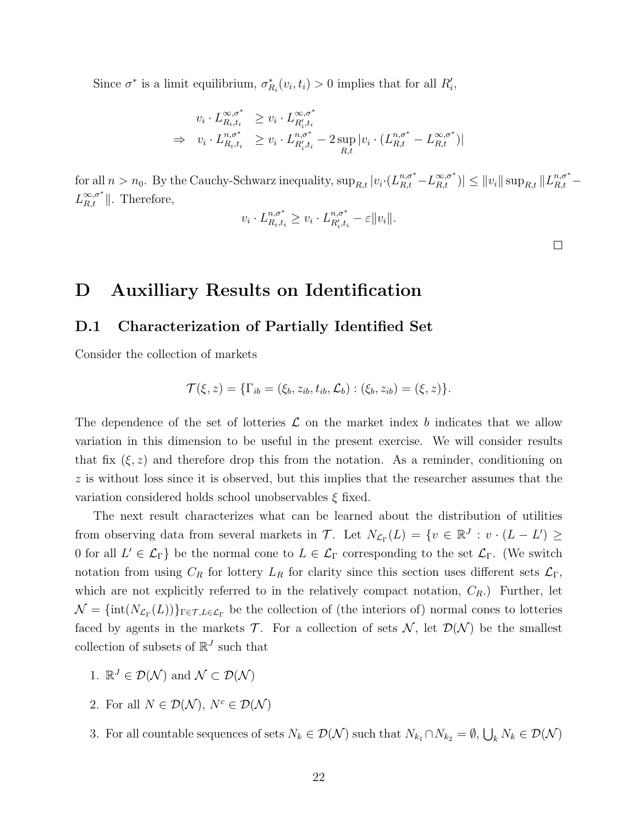Since  $\sigma^*$  is a limit equilibrium,  $\sigma^*_{R_i}(v_i, t_i) > 0$  implies that for all  $R'_i$ ,

$$
v_i \cdot L_{R_i,t_i}^{\infty,\sigma^*} \ge v_i \cdot L_{R'_i,t_i}^{\infty,\sigma^*}
$$
  
\n
$$
\Rightarrow v_i \cdot L_{R_i,t_i}^{\infty,\sigma^*} \ge v_i \cdot L_{R'_i,t_i}^{\infty,\sigma^*} - 2 \sup_{R,t} |v_i \cdot (L_{R,t}^{\infty,\sigma^*} - L_{R,t}^{\infty,\sigma^*})|
$$

for all  $n > n_0$ . By the Cauchy-Schwarz inequality,  $\sup_{R,t} |v_i \cdot (L_{R,t}^{n,\sigma^*} - L_{R,t}^{\infty,\sigma^*})| \le ||v_i|| \sup_{R,t} ||L_{R,t}^{n,\sigma^*} - L_{R,t}^{\infty,\sigma^*}||$  $L_{R,t}^{\infty,\sigma^*}$ ||. Therefore,

$$
v_i \cdot L_{R_i,t_i}^{n,\sigma^*} \ge v_i \cdot L_{R'_i,t_i}^{n,\sigma^*} - \varepsilon ||v_i||.
$$

 $\Box$ 

# D Auxilliary Results on Identification

# D.1 Characterization of Partially Identified Set

Consider the collection of markets

$$
\mathcal{T}(\xi, z) = \{ \Gamma_{ib} = (\xi_b, z_{ib}, t_{ib}, \mathcal{L}_b) : (\xi_b, z_{ib}) = (\xi, z) \}.
$$

The dependence of the set of lotteries  $\mathcal L$  on the market index b indicates that we allow variation in this dimension to be useful in the present exercise. We will consider results that fix  $(\xi, z)$  and therefore drop this from the notation. As a reminder, conditioning on  $z$  is without loss since it is observed, but this implies that the researcher assumes that the variation considered holds school unobservables  $\xi$  fixed.

The next result characterizes what can be learned about the distribution of utilities from observing data from several markets in  $\mathcal{T}$ . Let  $N_{\mathcal{L}_{\Gamma}}(L) = \{v \in \mathbb{R}^J : v \cdot (L - L') \geq$ 0 for all  $L' \in \mathcal{L}_{\Gamma}$  be the normal cone to  $L \in \mathcal{L}_{\Gamma}$  corresponding to the set  $\mathcal{L}_{\Gamma}$ . (We switch notation from using  $C_R$  for lottery  $L_R$  for clarity since this section uses different sets  $\mathcal{L}_{\Gamma}$ , which are not explicitly referred to in the relatively compact notation,  $C_R$ .) Further, let  $\mathcal{N} = {\rm int}(N_{\mathcal{L}_\Gamma}(L))\}_{\Gamma \in \mathcal{T}, L \in \mathcal{L}_\Gamma}$  be the collection of (the interiors of) normal cones to lotteries faced by agents in the markets  $\mathcal T$ . For a collection of sets  $\mathcal N$ , let  $\mathcal D(\mathcal N)$  be the smallest collection of subsets of  $\mathbb{R}^J$  such that

- 1.  $\mathbb{R}^J \in \mathcal{D}(\mathcal{N})$  and  $\mathcal{N} \subset \mathcal{D}(\mathcal{N})$
- 2. For all  $N \in \mathcal{D}(\mathcal{N}), N^c \in \mathcal{D}(\mathcal{N})$
- 3. For all countable sequences of sets  $N_k \in \mathcal{D}(\mathcal{N})$  such that  $N_{k_1} \cap N_{k_2} = \emptyset$ ,  $\bigcup_k N_k \in \mathcal{D}(\mathcal{N})$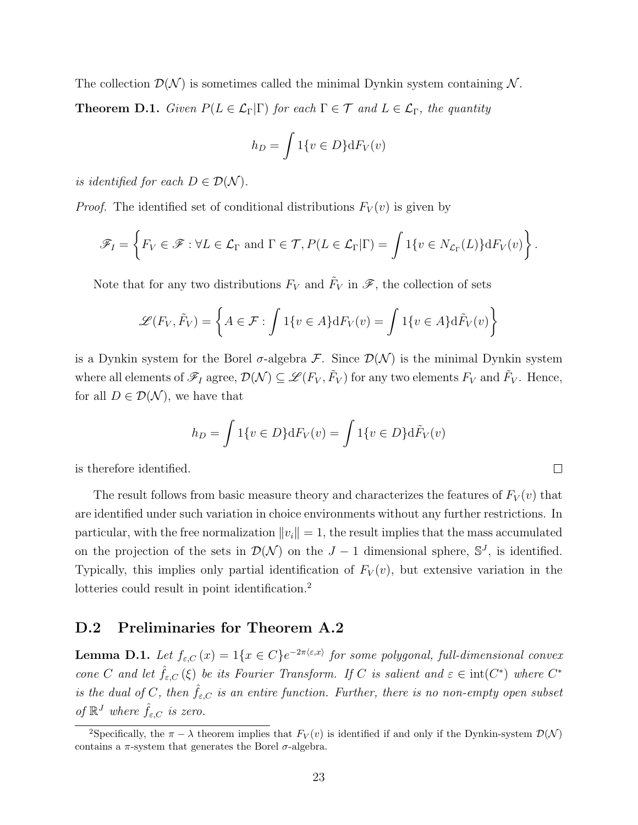The collection  $\mathcal{D}(\mathcal{N})$  is sometimes called the minimal Dynkin system containing N. **Theorem D.1.** Given  $P(L \in \mathcal{L}_{\Gamma}|\Gamma)$  for each  $\Gamma \in \mathcal{T}$  and  $L \in \mathcal{L}_{\Gamma}$ , the quantity

$$
h_D = \int 1\{v \in D\} \mathrm{d}F_V(v)
$$

is identified for each  $D \in \mathcal{D}(\mathcal{N})$ .

*Proof.* The identified set of conditional distributions  $F_V(v)$  is given by

$$
\mathscr{F}_I = \left\{ F_V \in \mathscr{F} : \forall L \in \mathcal{L}_\Gamma \text{ and } \Gamma \in \mathcal{T}, P(L \in \mathcal{L}_\Gamma | \Gamma) = \int 1\{v \in N_{\mathcal{L}_\Gamma}(L)\} dF_V(v) \right\}.
$$

Note that for any two distributions  $F_V$  and  $\tilde{F}_V$  in  $\mathscr{F}$ , the collection of sets

$$
\mathcal{L}(F_V, \tilde{F}_V) = \left\{ A \in \mathcal{F} : \int 1\{v \in A\} dF_V(v) = \int 1\{v \in A\} d\tilde{F}_V(v) \right\}
$$

is a Dynkin system for the Borel  $\sigma$ -algebra F. Since  $\mathcal{D}(\mathcal{N})$  is the minimal Dynkin system where all elements of  $\mathscr{F}_I$  agree,  $\mathcal{D}(\mathcal{N})\subseteq\mathscr{L}(F_V,\tilde{F}_V)$  for any two elements  $F_V$  and  $\tilde{F}_V$ . Hence, for all  $D \in \mathcal{D}(\mathcal{N})$ , we have that

$$
h_D = \int 1\{v \in D\} \mathrm{d}F_V(v) = \int 1\{v \in D\} \mathrm{d}\tilde{F}_V(v)
$$

 $\Box$ 

is therefore identified.

The result follows from basic measure theory and characterizes the features of  $F_V(v)$  that are identified under such variation in choice environments without any further restrictions. In particular, with the free normalization  $||v_i|| = 1$ , the result implies that the mass accumulated on the projection of the sets in  $\mathcal{D}(\mathcal{N})$  on the  $J-1$  dimensional sphere,  $\mathbb{S}^J$ , is identified. Typically, this implies only partial identification of  $F_V(v)$ , but extensive variation in the lotteries could result in point identification.<sup>2</sup>

## D.2 Preliminaries for Theorem A.2

**Lemma D.1.** Let  $f_{\varepsilon,C}(x) = 1\{x \in C\}e^{-2\pi\langle \varepsilon, x \rangle}$  for some polygonal, full-dimensional convex cone C and let  $\hat{f}_{\varepsilon,C}(\xi)$  be its Fourier Transform. If C is salient and  $\varepsilon \in \text{int}(C^*)$  where  $C^*$ is the dual of C, then  $\hat{f}_{\varepsilon,C}$  is an entire function. Further, there is no non-empty open subset of  $\mathbb{R}^J$  where  $\hat{f}_{\varepsilon,C}$  is zero.

<sup>&</sup>lt;sup>2</sup>Specifically, the  $\pi - \lambda$  theorem implies that  $F_V(v)$  is identified if and only if the Dynkin-system  $\mathcal{D}(\mathcal{N})$ contains a  $\pi$ -system that generates the Borel  $\sigma$ -algebra.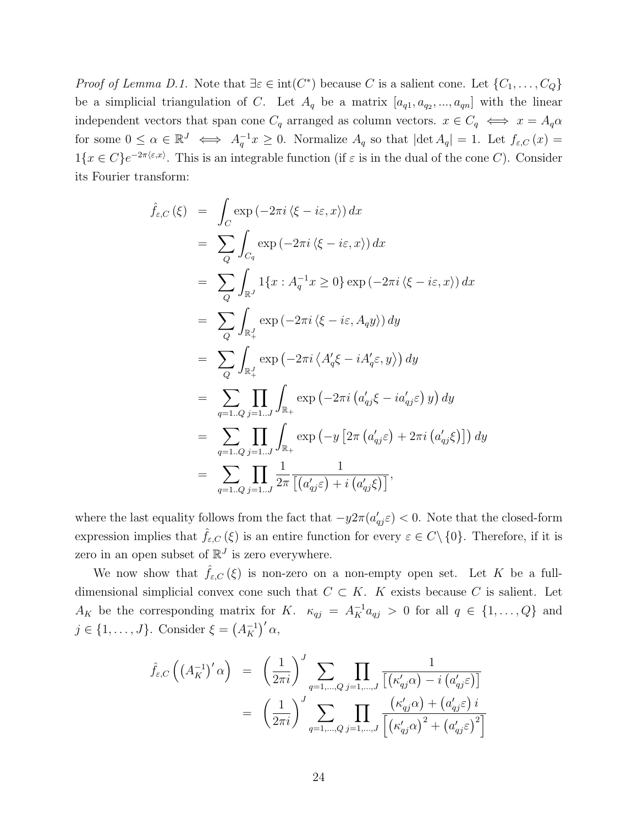*Proof of Lemma D.1.* Note that  $\exists \varepsilon \in \text{int}(C^*)$  because C is a salient cone. Let  $\{C_1, \ldots, C_Q\}$ be a simplicial triangulation of C. Let  $A_q$  be a matrix  $[a_{q1}, a_{q2}, ..., a_{qn}]$  with the linear independent vectors that span cone  $C_q$  arranged as column vectors.  $x \in C_q \iff x = A_q \alpha$ for some  $0 \leq \alpha \in \mathbb{R}^J \iff A_q^{-1}x \geq 0$ . Normalize  $A_q$  so that  $|\det A_q| = 1$ . Let  $f_{\varepsilon,C}(x) =$  $1\{x \in C\}e^{-2\pi\langle \varepsilon, x\rangle}$ . This is an integrable function (if  $\varepsilon$  is in the dual of the cone C). Consider its Fourier transform:

$$
\hat{f}_{\varepsilon,C}(\xi) = \int_C \exp(-2\pi i \langle \xi - i\varepsilon, x \rangle) dx
$$
\n
$$
= \sum_Q \int_{C_q} \exp(-2\pi i \langle \xi - i\varepsilon, x \rangle) dx
$$
\n
$$
= \sum_Q \int_{\mathbb{R}^J} 1\{x : A_q^{-1}x \ge 0\} \exp(-2\pi i \langle \xi - i\varepsilon, x \rangle) dx
$$
\n
$$
= \sum_Q \int_{\mathbb{R}^J_+} \exp(-2\pi i \langle \xi - i\varepsilon, A_q y \rangle) dy
$$
\n
$$
= \sum_Q \int_{\mathbb{R}^J_+} \exp(-2\pi i \langle A'_q \xi - i A'_q \varepsilon, y \rangle) dy
$$
\n
$$
= \sum_{q=1..Q} \prod_{j=1..J} \int_{\mathbb{R}_+} \exp(-2\pi i (a'_{qj}\xi - i a'_{qj}\varepsilon) y) dy
$$
\n
$$
= \sum_{q=1..Q} \prod_{j=1..J} \int_{\mathbb{R}_+} \exp(-y [2\pi (a'_{qj}\varepsilon) + 2\pi i (a'_{qj}\xi)]) dy
$$
\n
$$
= \sum_{q=1..Q} \prod_{j=1..J} \frac{1}{2\pi} \frac{1}{[(a'_{qj}\varepsilon) + i (a'_{qj}\xi)]},
$$

where the last equality follows from the fact that  $-y2\pi (a'_{qj}\varepsilon) < 0$ . Note that the closed-form expression implies that  $\hat{f}_{\varepsilon,C}(\xi)$  is an entire function for every  $\varepsilon \in C \setminus \{0\}$ . Therefore, if it is zero in an open subset of  $\mathbb{R}^J$  is zero everywhere.

We now show that  $\hat{f}_{\varepsilon,C}(\xi)$  is non-zero on a non-empty open set. Let K be a fulldimensional simplicial convex cone such that  $C \subset K$ . K exists because C is salient. Let  $A_K$  be the corresponding matrix for K.  $\kappa_{qj} = A_K^{-1} a_{qj} > 0$  for all  $q \in \{1, ..., Q\}$  and  $j \in \{1, \ldots, J\}$ . Consider  $\xi = (A_K^{-1})$  $\frac{-1}{K}$ <sup> $\prime$ </sup>  $\alpha$ ,

$$
\hat{f}_{\varepsilon,C}\left(\left(A_K^{-1}\right)'\alpha\right) = \left(\frac{1}{2\pi i}\right)^J \sum_{q=1,\dots,Q} \prod_{j=1,\dots,J} \frac{1}{\left[\left(\kappa'_{qj}\alpha\right) - i\left(a'_{qj}\varepsilon\right)\right]}
$$
\n
$$
= \left(\frac{1}{2\pi i}\right)^J \sum_{q=1,\dots,Q} \prod_{j=1,\dots,J} \frac{\left(\kappa'_{qj}\alpha\right) + \left(a'_{qj}\varepsilon\right)i}{\left[\left(\kappa'_{qj}\alpha\right)^2 + \left(a'_{qj}\varepsilon\right)^2\right]}
$$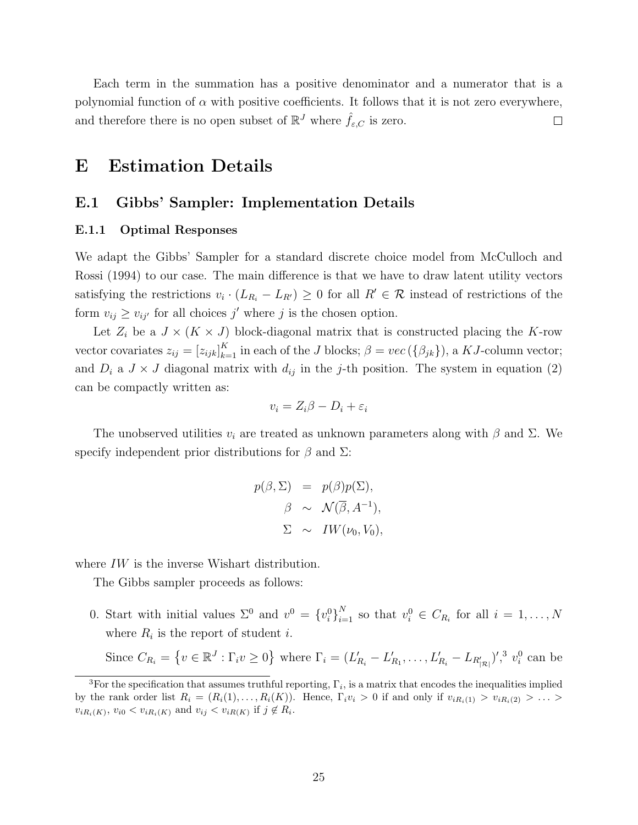Each term in the summation has a positive denominator and a numerator that is a polynomial function of  $\alpha$  with positive coefficients. It follows that it is not zero everywhere, and therefore there is no open subset of  $\mathbb{R}^{J}$  where  $\hat{f}_{\varepsilon,C}$  is zero.  $\Box$ 

# E Estimation Details

# E.1 Gibbs' Sampler: Implementation Details

#### E.1.1 Optimal Responses

We adapt the Gibbs' Sampler for a standard discrete choice model from McCulloch and Rossi (1994) to our case. The main difference is that we have to draw latent utility vectors satisfying the restrictions  $v_i \cdot (L_{R_i} - L_{R'}) \geq 0$  for all  $R' \in \mathcal{R}$  instead of restrictions of the form  $v_{ij} \ge v_{ij'}$  for all choices j' where j is the chosen option.

Let  $Z_i$  be a  $J \times (K \times J)$  block-diagonal matrix that is constructed placing the K-row vector covariates  $z_{ij} = [z_{ijk}]_{k=1}^K$  in each of the J blocks;  $\beta = vec({\beta_{jk}})$ , a KJ-column vector; and  $D_i$  a  $J \times J$  diagonal matrix with  $d_{ij}$  in the j-th position. The system in equation (2) can be compactly written as:

$$
v_i = Z_i \beta - D_i + \varepsilon_i
$$

The unobserved utilities  $v_i$  are treated as unknown parameters along with  $\beta$  and  $\Sigma$ . We specify independent prior distributions for  $\beta$  and  $\Sigma$ :

$$
p(\beta, \Sigma) = p(\beta)p(\Sigma),
$$
  

$$
\beta \sim \mathcal{N}(\overline{\beta}, A^{-1}),
$$
  

$$
\Sigma \sim IW(\nu_0, V_0),
$$

where IW is the inverse Wishart distribution.

The Gibbs sampler proceeds as follows:

0. Start with initial values  $\Sigma^0$  and  $v^0 = \{v_i^0\}_{i=1}^N$  so that  $v_i^0 \in C_{R_i}$  for all  $i = 1, \ldots, N$ where  $R_i$  is the report of student *i*.

Since  $C_{R_i} = \{v \in \mathbb{R}^J : \Gamma_i v \ge 0\}$  where  $\Gamma_i = (L'_{R_i} - L'_{R_1}, \dots, L'_{R_i} - L_{R'_{|\mathcal{R}|}})'$ ,<sup>3</sup>  $v_i^0$  can be

<sup>&</sup>lt;sup>3</sup>For the specification that assumes truthful reporting,  $\Gamma_i$ , is a matrix that encodes the inequalities implied by the rank order list  $R_i = (R_i(1), \ldots, R_i(K))$ . Hence,  $\Gamma_i v_i > 0$  if and only if  $v_{iR_i(1)} > v_{iR_i(2)} > \ldots >$  $v_{iR_i(K)}$ ,  $v_{i0} < v_{iR_i(K)}$  and  $v_{ij} < v_{iR(K)}$  if  $j \notin R_i$ .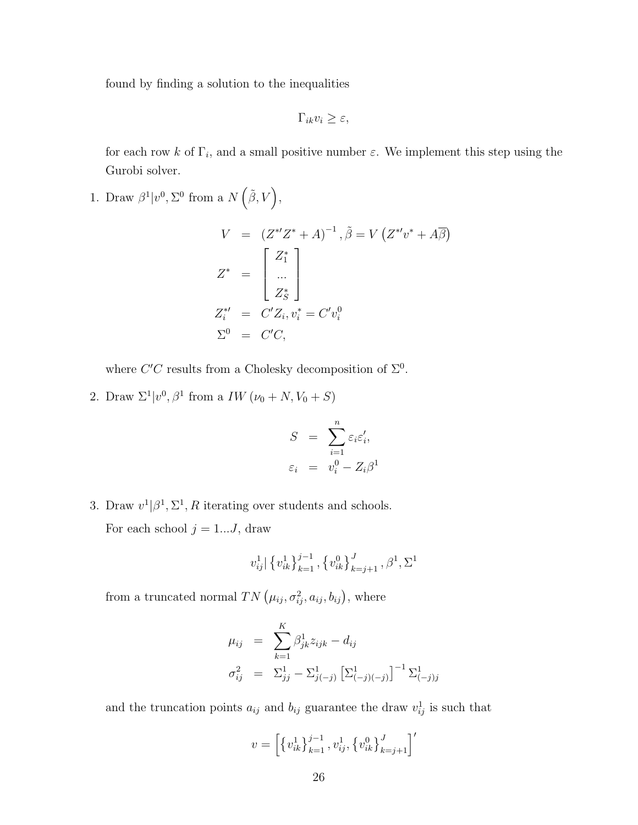found by finding a solution to the inequalities

 $\Gamma_{ik}v_i \geq \varepsilon$ ,

for each row k of  $\Gamma_i$ , and a small positive number  $\varepsilon$ . We implement this step using the Gurobi solver.

1. Draw  $\beta^1 | v^0, \Sigma^0$  from a  $N(\tilde{\beta}, V)$ ,

$$
V = (Z^*Z^* + A)^{-1}, \tilde{\beta} = V(Z^*Z^* + A\overline{\beta})
$$
  
\n
$$
Z^* = \begin{bmatrix} Z_1^* \\ \dots \\ Z_S^* \end{bmatrix}
$$
  
\n
$$
Z_i^{*'} = C'Z_i, v_i^* = C'v_i^0
$$
  
\n
$$
\Sigma^0 = C'C,
$$

where  $C'C$  results from a Cholesky decomposition of  $\Sigma^0$ .

2. Draw  $\Sigma^1 | v^0, \beta^1$  from a *IW* ( $\nu_0 + N, V_0 + S$ )

$$
S = \sum_{i=1}^{n} \varepsilon_i \varepsilon_i',
$$
  

$$
\varepsilon_i = v_i^0 - Z_i \beta^1
$$

3. Draw  $v^1|\beta^1, \Sigma^1, R$  iterating over students and schools. For each school  $j = 1...J$ , draw

$$
v_{ij}^1 | \{v_{ik}^1\}_{k=1}^{j-1}, \{v_{ik}^0\}_{k=j+1}^{J}, \beta^1, \Sigma^1
$$

from a truncated normal  $TN(\mu_{ij}, \sigma_{ij}^2, a_{ij}, b_{ij})$ , where

$$
\mu_{ij} = \sum_{k=1}^{K} \beta_{jk}^{1} z_{ijk} - d_{ij}
$$
  

$$
\sigma_{ij}^{2} = \Sigma_{jj}^{1} - \Sigma_{j(-j)}^{1} [\Sigma_{(-j)(-j)}^{1}]^{-1} \Sigma_{(-j)j}^{1}
$$

and the truncation points  $a_{ij}$  and  $b_{ij}$  guarantee the draw  $v_{ij}^1$  is such that

$$
v = \left[ \left\{ v_{ik}^1 \right\}_{k=1}^{j-1}, v_{ij}^1, \left\{ v_{ik}^0 \right\}_{k=j+1}^{J} \right]'
$$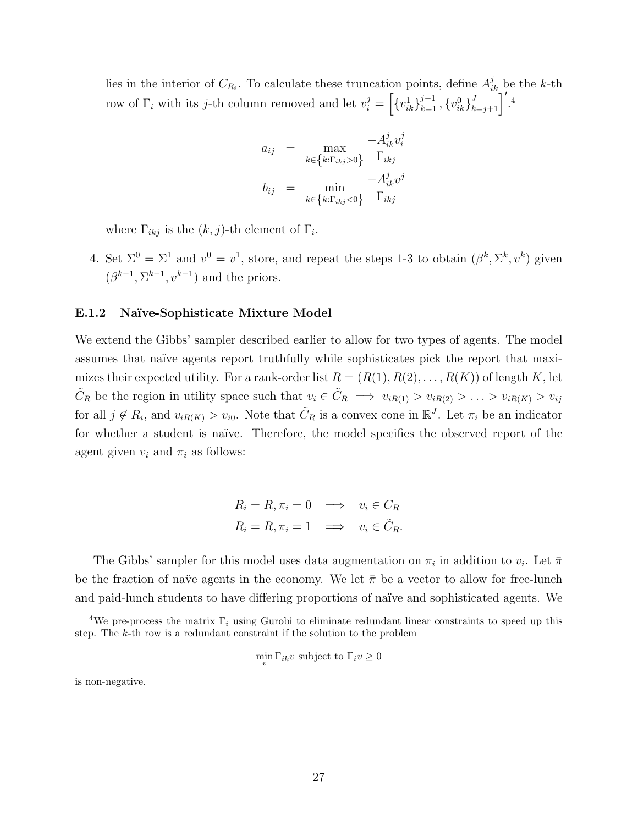lies in the interior of  $C_{R_i}$ . To calculate these truncation points, define  $A_{ik}^j$  be the k-th row of  $\Gamma_i$  with its j-th column removed and let  $v_i^j = \left[\{v_{ik}^1\}_{k=1}^{j-1}, \{v_{ik}^0\}_{k=j+1}^J\right]'.4$ 

$$
a_{ij} = \max_{k \in \left\{k: \Gamma_{ikj} > 0\right\}} \frac{-A_{ik}^j v_i^j}{\Gamma_{ikj}}
$$
\n
$$
b_{ij} = \min_{k \in \left\{k: \Gamma_{ikj} < 0\right\}} \frac{-A_{ik}^j v^j}{\Gamma_{ikj}}
$$

where  $\Gamma_{ikj}$  is the  $(k, j)$ -th element of  $\Gamma_i$ .

4. Set  $\Sigma^0 = \Sigma^1$  and  $v^0 = v^1$ , store, and repeat the steps 1-3 to obtain  $(\beta^k, \Sigma^k, v^k)$  given  $(\beta^{k-1}, \Sigma^{k-1}, v^{k-1})$  and the priors.

#### E.1.2 Naïve-Sophisticate Mixture Model

We extend the Gibbs' sampler described earlier to allow for two types of agents. The model assumes that naïve agents report truthfully while sophisticates pick the report that maximizes their expected utility. For a rank-order list  $R = (R(1), R(2), \ldots, R(K))$  of length K, let  $\tilde{C}_R$  be the region in utility space such that  $v_i \in \tilde{C}_R \implies v_{iR(1)} > v_{iR(2)} > \ldots > v_{iR(K)} > v_{ij}$ for all  $j \notin R_i$ , and  $v_{iR(K)} > v_{i0}$ . Note that  $\tilde{C}_R$  is a convex cone in  $\mathbb{R}^J$ . Let  $\pi_i$  be an indicator for whether a student is naïve. Therefore, the model specifies the observed report of the agent given  $v_i$  and  $\pi_i$  as follows:

$$
R_i = R, \pi_i = 0 \implies v_i \in C_R
$$
  

$$
R_i = R, \pi_i = 1 \implies v_i \in \tilde{C}_R.
$$

The Gibbs' sampler for this model uses data augmentation on  $\pi_i$  in addition to  $v_i$ . Let  $\bar{\pi}$ be the fraction of naïve agents in the economy. We let  $\bar{\pi}$  be a vector to allow for free-lunch and paid-lunch students to have differing proportions of naïve and sophisticated agents. We

$$
\min_{v} \Gamma_{ik} v
$$
 subject to  $\Gamma_i v \ge 0$ 

is non-negative.

<sup>&</sup>lt;sup>4</sup>We pre-process the matrix  $\Gamma_i$  using Gurobi to eliminate redundant linear constraints to speed up this step. The k-th row is a redundant constraint if the solution to the problem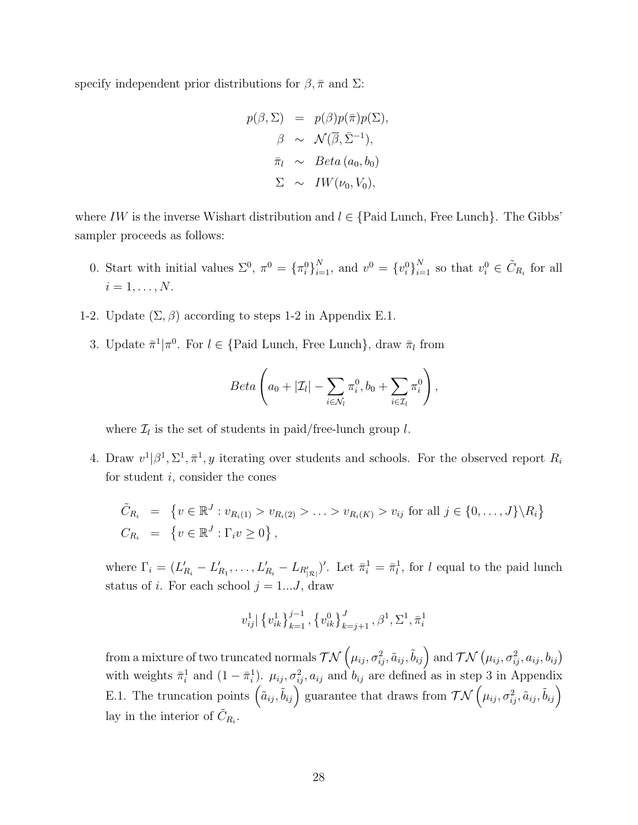specify independent prior distributions for  $\beta$ ,  $\bar{\pi}$  and  $\Sigma$ :

$$
p(\beta, \Sigma) = p(\beta)p(\overline{\pi})p(\Sigma),
$$
  
\n
$$
\beta \sim \mathcal{N}(\overline{\beta}, \overline{\Sigma}^{-1}),
$$
  
\n
$$
\overline{\pi}_l \sim Beta(a_0, b_0)
$$
  
\n
$$
\Sigma \sim IW(\nu_0, V_0),
$$

where IW is the inverse Wishart distribution and  $l \in \{$  Paid Lunch, Free Lunch $\}$ . The Gibbs' sampler proceeds as follows:

- 0. Start with initial values  $\Sigma^0$ ,  $\pi^0 = {\{\pi_i^0\}}_{i=1}^N$ , and  $v^0 = {\{v_i^0\}}_{i=1}^N$  so that  $v_i^0 \in \tilde{C}_{R_i}$  for all  $i=1,\ldots,N.$
- 1-2. Update  $(\Sigma, \beta)$  according to steps 1-2 in Appendix E.1.
	- 3. Update  $\bar{\pi}^1 | \pi^0$ . For  $l \in \{ \text{Paid Lunch}, \text{Free Lunch} \}$ , draw  $\bar{\pi}_l$  from

$$
Beta\left(a_0 + |\mathcal{I}_l| - \sum_{i \in \mathcal{N}_l} \pi_i^0, b_0 + \sum_{i \in \mathcal{I}_l} \pi_i^0\right),\,
$$

where  $\mathcal{I}_l$  is the set of students in paid/free-lunch group l.

4. Draw  $v^1|\beta^1, \Sigma^1, \bar{\pi}^1, y$  iterating over students and schools. For the observed report  $R_i$ for student  $i$ , consider the cones

$$
\tilde{C}_{R_i} = \{ v \in \mathbb{R}^J : v_{R_i(1)} > v_{R_i(2)} > \dots > v_{R_i(K)} > v_{ij} \text{ for all } j \in \{0, \dots, J\} \setminus R_i \}
$$
  
\n
$$
C_{R_i} = \{ v \in \mathbb{R}^J : \Gamma_i v \ge 0 \},
$$

where  $\Gamma_i = (L'_{R_i} - L'_{R_1}, \ldots, L'_{R_i} - L_{R'_{|\mathcal{R}|}})'$ . Let  $\bar{\pi}_i^1 = \bar{\pi}_i^1$ , for l equal to the paid lunch status of i. For each school  $j = 1...J$ , draw

$$
v_{ij}^1 | \{v_{ik}^1\}_{k=1}^{j-1}, \{v_{ik}^0\}_{k=j+1}^{J}, \beta^1, \Sigma^1, \bar{\pi}_i^1
$$

from a mixture of two truncated normals  $\mathcal{TN}\left(\mu_{ij},\sigma_{ij}^2,\tilde a_{ij},\tilde b_{ij}\right)$  and  $\mathcal{TN}\left(\mu_{ij},\sigma_{ij}^2,a_{ij},b_{ij}\right)$ with weights  $\bar{\pi}_i^1$  and  $(1-\bar{\pi}_i^1)$ .  $\mu_{ij}, \sigma_{ij}^2, a_{ij}$  and  $b_{ij}$  are defined as in step 3 in Appendix E.1. The truncation points  $(\tilde{a}_{ij}, \tilde{b}_{ij})$  guarantee that draws from  $\mathcal{TN}(\mu_{ij}, \sigma_{ij}^2, \tilde{a}_{ij}, \tilde{b}_{ij})$ lay in the interior of  $\tilde{C}_{R_i}$ .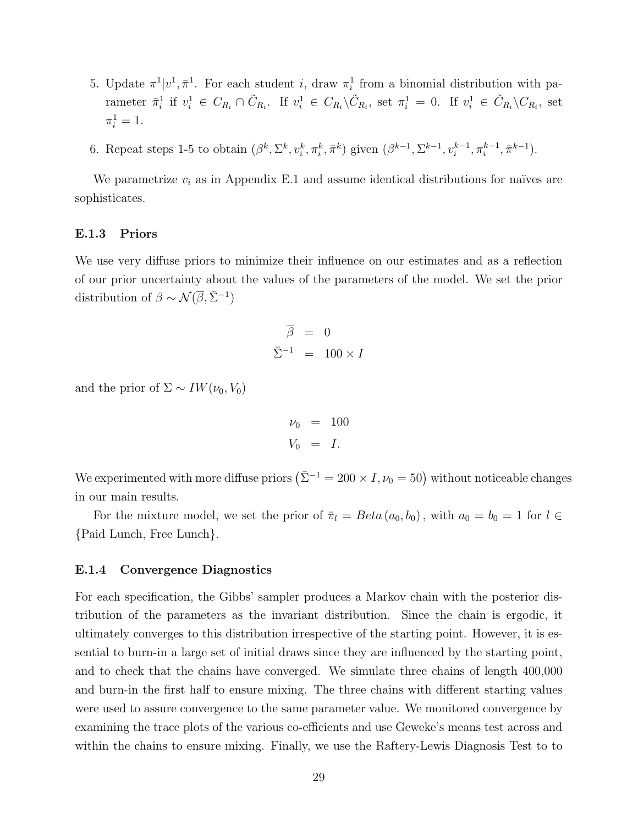- 5. Update  $\pi^1|v^1, \bar{\pi}^1$ . For each student i, draw  $\pi_i^1$  from a binomial distribution with parameter  $\bar{\pi}_i^1$  if  $v_i^1 \in C_{R_i} \cap \tilde{C}_{R_i}$ . If  $v_i^1 \in C_{R_i} \setminus \tilde{C}_{R_i}$ , set  $\pi_i^1 = 0$ . If  $v_i^1 \in \tilde{C}_{R_i} \setminus C_{R_i}$ , set  $\pi_i^1 = 1.$
- 6. Repeat steps 1-5 to obtain  $(\beta^k, \Sigma^k, v_i^k, \pi_i^k, \bar{\pi}^k)$  given  $(\beta^{k-1}, \Sigma^{k-1}, v_i^{k-1}, \pi_i^{k-1}, \bar{\pi}^{k-1})$ .

We parametrize  $v_i$  as in Appendix E.1 and assume identical distributions for naïves are sophisticates.

#### E.1.3 Priors

We use very diffuse priors to minimize their influence on our estimates and as a reflection of our prior uncertainty about the values of the parameters of the model. We set the prior distribution of  $\beta \sim \mathcal{N}(\overline{\beta}, \overline{\Sigma}^{-1})$ 

$$
\overline{\beta} = 0
$$
  

$$
\overline{\Sigma}^{-1} = 100 \times I
$$

and the prior of  $\Sigma \sim IW(\nu_0, V_0)$ 

$$
\nu_0 = 100
$$
  

$$
V_0 = I.
$$

We experimented with more diffuse priors  $(\bar{\Sigma}^{-1} = 200 \times I, \nu_0 = 50)$  without noticeable changes in our main results.

For the mixture model, we set the prior of  $\bar{\pi}_l = Beta(a_0, b_0)$ , with  $a_0 = b_0 = 1$  for  $l \in$ {Paid Lunch, Free Lunch}.

## E.1.4 Convergence Diagnostics

For each specification, the Gibbs' sampler produces a Markov chain with the posterior distribution of the parameters as the invariant distribution. Since the chain is ergodic, it ultimately converges to this distribution irrespective of the starting point. However, it is essential to burn-in a large set of initial draws since they are influenced by the starting point, and to check that the chains have converged. We simulate three chains of length 400,000 and burn-in the first half to ensure mixing. The three chains with different starting values were used to assure convergence to the same parameter value. We monitored convergence by examining the trace plots of the various co-efficients and use Geweke's means test across and within the chains to ensure mixing. Finally, we use the Raftery-Lewis Diagnosis Test to to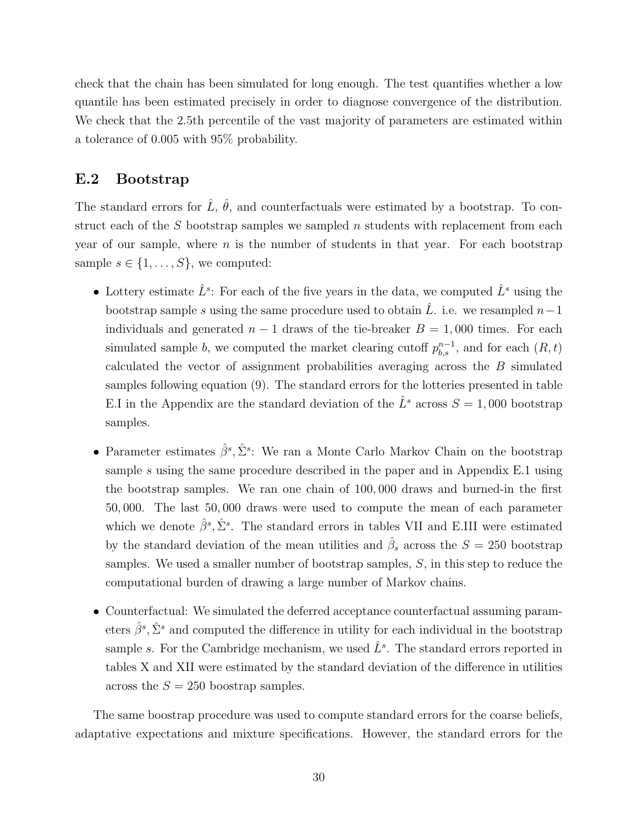check that the chain has been simulated for long enough. The test quantifies whether a low quantile has been estimated precisely in order to diagnose convergence of the distribution. We check that the 2.5th percentile of the vast majority of parameters are estimated within a tolerance of 0.005 with 95% probability.

# E.2 Bootstrap

The standard errors for  $\hat{L}$ ,  $\hat{\theta}$ , and counterfactuals were estimated by a bootstrap. To construct each of the  $S$  bootstrap samples we sampled  $n$  students with replacement from each year of our sample, where  $n$  is the number of students in that year. For each bootstrap sample  $s \in \{1, \ldots, S\}$ , we computed:

- Lottery estimate  $\hat{L}^s$ : For each of the five years in the data, we computed  $\hat{L}^s$  using the bootstrap sample s using the same procedure used to obtain  $\hat{L}$ . i.e. we resampled  $n-1$ individuals and generated  $n - 1$  draws of the tie-breaker  $B = 1,000$  times. For each simulated sample b, we computed the market clearing cutoff  $p_{b,s}^{n-1}$ , and for each  $(R, t)$ calculated the vector of assignment probabilities averaging across the B simulated samples following equation (9). The standard errors for the lotteries presented in table E.I in the Appendix are the standard deviation of the  $\hat{L}^s$  across  $S = 1,000$  bootstrap samples.
- Parameter estimates  $\hat{\beta}^s$ ,  $\hat{\Sigma}^s$ : We ran a Monte Carlo Markov Chain on the bootstrap sample s using the same procedure described in the paper and in Appendix E.1 using the bootstrap samples. We ran one chain of 100, 000 draws and burned-in the first 50, 000. The last 50, 000 draws were used to compute the mean of each parameter which we denote  $\hat{\beta}^s, \hat{\Sigma}^s$ . The standard errors in tables VII and E.III were estimated by the standard deviation of the mean utilities and  $\hat{\beta}_s$  across the  $S = 250$  bootstrap samples. We used a smaller number of bootstrap samples, S, in this step to reduce the computational burden of drawing a large number of Markov chains.
- Counterfactual: We simulated the deferred acceptance counterfactual assuming parameters  $\hat{\beta}^s$ ,  $\hat{\Sigma}^s$  and computed the difference in utility for each individual in the bootstrap sample s. For the Cambridge mechanism, we used  $\hat{L}^s$ . The standard errors reported in tables X and XII were estimated by the standard deviation of the difference in utilities across the  $S = 250$  boostrap samples.

The same boostrap procedure was used to compute standard errors for the coarse beliefs, adaptative expectations and mixture specifications. However, the standard errors for the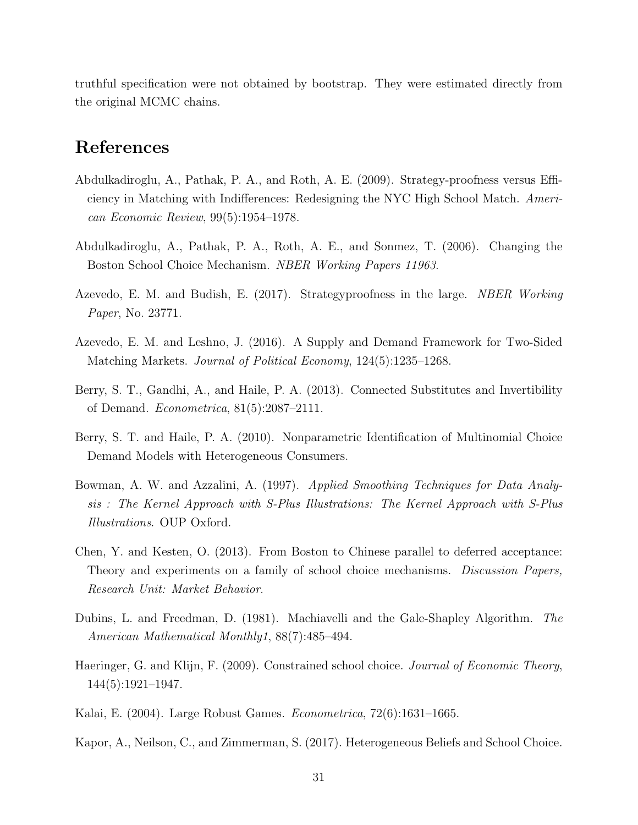truthful specification were not obtained by bootstrap. They were estimated directly from the original MCMC chains.

# References

- Abdulkadiroglu, A., Pathak, P. A., and Roth, A. E. (2009). Strategy-proofness versus Efficiency in Matching with Indifferences: Redesigning the NYC High School Match. American Economic Review, 99(5):1954–1978.
- Abdulkadiroglu, A., Pathak, P. A., Roth, A. E., and Sonmez, T. (2006). Changing the Boston School Choice Mechanism. NBER Working Papers 11963.
- Azevedo, E. M. and Budish, E. (2017). Strategyproofness in the large. NBER Working Paper, No. 23771.
- Azevedo, E. M. and Leshno, J. (2016). A Supply and Demand Framework for Two-Sided Matching Markets. Journal of Political Economy, 124(5):1235–1268.
- Berry, S. T., Gandhi, A., and Haile, P. A. (2013). Connected Substitutes and Invertibility of Demand. Econometrica, 81(5):2087–2111.
- Berry, S. T. and Haile, P. A. (2010). Nonparametric Identification of Multinomial Choice Demand Models with Heterogeneous Consumers.
- Bowman, A. W. and Azzalini, A. (1997). Applied Smoothing Techniques for Data Analysis : The Kernel Approach with S-Plus Illustrations: The Kernel Approach with S-Plus Illustrations. OUP Oxford.
- Chen, Y. and Kesten, O. (2013). From Boston to Chinese parallel to deferred acceptance: Theory and experiments on a family of school choice mechanisms. Discussion Papers, Research Unit: Market Behavior.
- Dubins, L. and Freedman, D. (1981). Machiavelli and the Gale-Shapley Algorithm. The American Mathematical Monthly1, 88(7):485–494.
- Haeringer, G. and Klijn, F. (2009). Constrained school choice. Journal of Economic Theory, 144(5):1921–1947.
- Kalai, E. (2004). Large Robust Games. Econometrica, 72(6):1631–1665.
- Kapor, A., Neilson, C., and Zimmerman, S. (2017). Heterogeneous Beliefs and School Choice.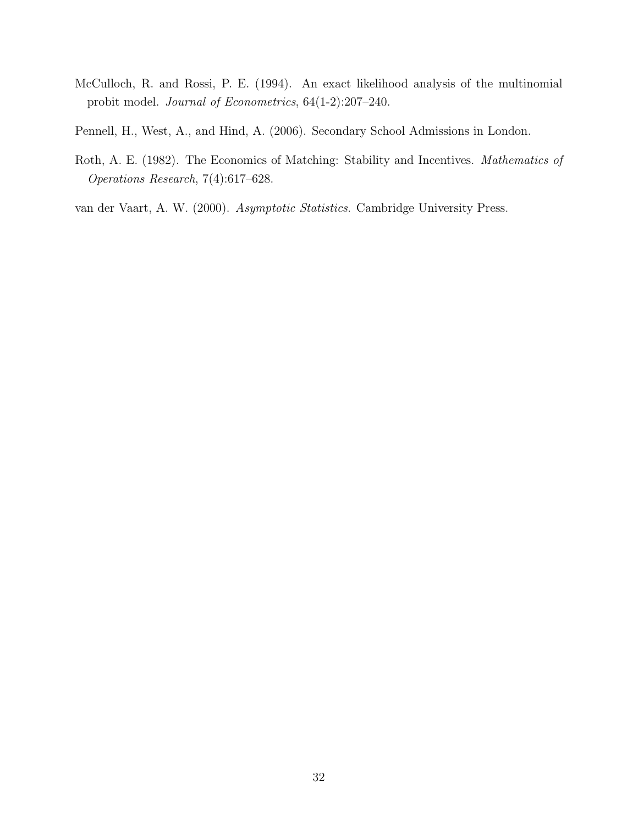- McCulloch, R. and Rossi, P. E. (1994). An exact likelihood analysis of the multinomial probit model. Journal of Econometrics, 64(1-2):207–240.
- Pennell, H., West, A., and Hind, A. (2006). Secondary School Admissions in London.
- Roth, A. E. (1982). The Economics of Matching: Stability and Incentives. Mathematics of Operations Research, 7(4):617–628.
- van der Vaart, A. W. (2000). Asymptotic Statistics. Cambridge University Press.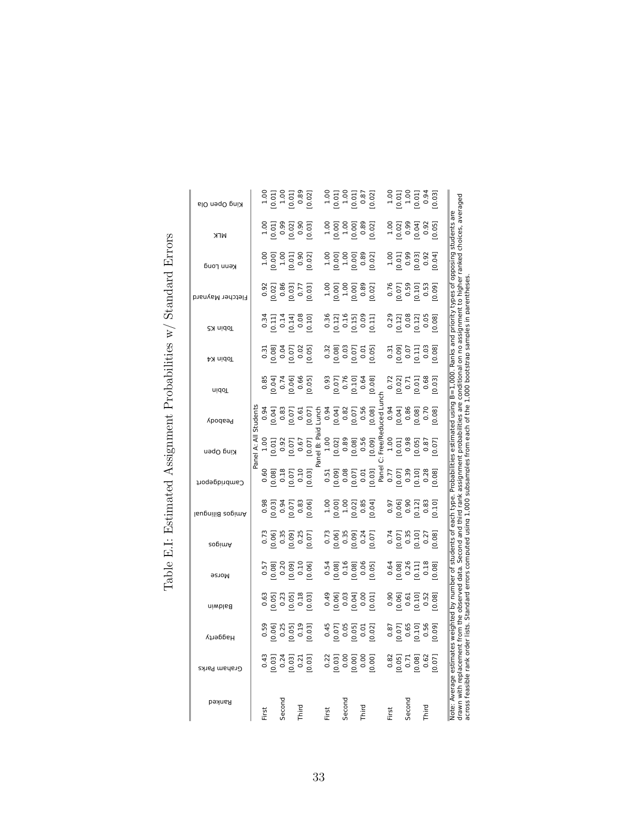| King Open Ola    |              |       |        |                                          |      | 1.00<br>0.011<br>0.011<br>0.021<br>0.021                                                        |       |                                |        |      | 1.00<br>0.011<br>0.011<br>0.021<br>0.021                                                                                                                                                                                              |       |        | $\begin{array}{r} 1.00 \\ 1.00 \\ 1.00 \\ 1.00 \\ 0.94 \\ 0.94 \\ \end{array}$                                                   |      |      |                                        |
|------------------|--------------|-------|--------|------------------------------------------|------|-------------------------------------------------------------------------------------------------|-------|--------------------------------|--------|------|---------------------------------------------------------------------------------------------------------------------------------------------------------------------------------------------------------------------------------------|-------|--------|----------------------------------------------------------------------------------------------------------------------------------|------|------|----------------------------------------|
| <b>NLK</b>       |              |       |        | 1.00<br>0.01<br>0.02<br>0.03<br>0.03     |      |                                                                                                 |       |                                |        |      | $\begin{array}{r} 1.00 \\ 1.00 \\ 1.00 \\ 0.001 \\ 0.000 \\ 0.89 \\ \hline \end{array}$                                                                                                                                               |       |        | $\begin{array}{r} 1.00 \\[-4pt] 1.00 \\[-4pt] 0.99 \\[-4pt] 0.04] \\[-4pt] 0.92 \\[-4pt] 0.05] \end{array}$                      |      |      | are<br>students                        |
| Kenn Long        |              |       |        | $1.00$<br>$0.001$<br>$0.01$<br>$0.02$    |      |                                                                                                 |       |                                |        |      | $\begin{bmatrix} 1.00 \\ 1.00 \\ 1.00 \\ 0.00 \\ 0.00 \\ 0.02 \end{bmatrix}$                                                                                                                                                          |       |        | $\begin{array}{r} 1.00 \\[-4pt] 0.01 \\[-4pt] 0.99 \\[-4pt] 0.03 \\[-4pt] 0.04 \\[-4pt] 0.04 \\[-4pt] 0.04 \\[-4pt] \end{array}$ |      |      | opposing                               |
| Fletcher Maynard |              |       |        |                                          |      | 0.92<br>0.021<br>0.031<br>0.77<br>0.031                                                         |       |                                |        |      | $\begin{bmatrix} 1.00 \\ 0.00 \\ 1.00 \\ 0.00 \\ 0.00 \\ 0.01 \\ \end{bmatrix}$                                                                                                                                                       |       |        | 0.76<br>[0.07]<br>[0.10]<br>[0.10]                                                                                               |      |      |                                        |
| <b>Tobin K5</b>  |              |       |        |                                          |      | 0.34<br>0.111<br>0.141<br>0.08<br>0.00                                                          |       |                                |        |      | 0.36<br>0.121<br>0.151<br>0.09<br>0.111                                                                                                                                                                                               |       |        | 0.29<br>0.121<br>0.08<br>0.05<br>0.081                                                                                           |      |      | priority types of                      |
| <b>Tobin K4</b>  |              |       |        | 0.31<br>0.08]<br>0.07]<br>0.02<br>0.05]  |      |                                                                                                 |       |                                |        |      | 0.32<br>0.08<br>0.07<br>0.07<br>0.05                                                                                                                                                                                                  |       |        | 0.31<br>0.09<br>0.07<br>0.011<br>0.08]                                                                                           |      |      | Ranks and                              |
| <b>uidoT</b>     |              |       |        |                                          |      | 0.85<br>0.041<br>0.061<br>0.061<br>0.051                                                        |       | 0.93<br>0.071<br>0.101<br>0.64 |        |      | [0.08]                                                                                                                                                                                                                                |       |        | 0.72<br>0.02]<br>0.01]<br>0.68                                                                                                   |      | 0.03 |                                        |
| Peabody          | student      |       |        |                                          |      | $\begin{array}{r} 0.94 \\ 0.041 \\ 0.83 \\ 0.83 \\ 0.071 \\ 0.01 \\ 0.01 \\ \hline \end{array}$ |       |                                |        |      |                                                                                                                                                                                                                                       |       |        |                                                                                                                                  |      |      | Probabilities estimated using B=1,000. |
| King Open        | Panel A: All |       |        |                                          |      | 1.00<br>[0.01]<br>[0.07]<br>[0.07]<br>[0.07]                                                    |       |                                |        |      | el B: Pc<br>1.00 (0.021 0.08 0.08 0.005 0.005 0.005 0.005 0.005 0.005 0.005 0.005 0.005 0.005 0.005 0.005 0.005 0<br>1.00 0.005 0.005 0.005 0.005 0.005 0.005 0.005 0.005 0.005 0.005 0.005 0.005 0.005 0.005 0.005 0.005 0.005 0<br> |       |        |                                                                                                                                  |      |      |                                        |
| Cambridgeport    |              |       |        |                                          |      | 0.60<br>81.000<br>10.01<br>10.01<br>10.031                                                      |       |                                |        |      |                                                                                                                                                                                                                                       |       |        |                                                                                                                                  |      |      |                                        |
| lsugnilid zogimA |              |       |        |                                          |      | 0.98<br>10.03<br>10.07<br>10.07                                                                 |       |                                |        |      | $\begin{array}{r} 1.00 \\ 0.001 \\ 1.00 \\ 0.021 \\ 0.85 \\ 0.04 \end{array}$                                                                                                                                                         |       |        | 0.97<br>0.061<br>0.121<br>0.121<br>0.101                                                                                         |      |      |                                        |
| zopimA           |              |       |        |                                          |      |                                                                                                 |       |                                |        |      | 73<br>0.061<br>0.091<br>0.071<br>0.071                                                                                                                                                                                                |       |        | $\begin{array}{c} 0.74 \\ 0.071 \\ 0.35 \\ 0.101 \\ 0.21 \end{array}$                                                            |      | 0.08 | students of each type.                 |
| <b>Morse</b>     |              |       |        |                                          |      | 0.57<br>0.081<br>0.20<br>0.091<br>0.001<br>0.001                                                |       |                                |        |      | $\begin{bmatrix} 54 \\ 0.54 \\ 0.08 \\ 0.16 \\ 0.08 \\ 0.09 \\ 0.05 \\ \end{bmatrix}$                                                                                                                                                 |       |        | $\begin{array}{c} 0.64 \\ 0.081 \\ 0.26 \\ 0.111 \\ 0.11 \\ 0.081 \\ \end{array}$                                                |      |      | đ                                      |
| Baldwin          |              |       |        | 0.63<br>0.051<br>0.051<br>0.051<br>0.031 |      |                                                                                                 |       |                                |        |      | 0.49<br>0.061<br>0.01<br>0.001<br>0.001                                                                                                                                                                                               |       |        | 0.90<br>0.061<br>0.51<br>0.52<br>0.081                                                                                           |      |      | by number                              |
| Haggerty         |              |       |        | 0.59<br>0.061<br>0.051<br>0.051<br>0.031 |      |                                                                                                 |       |                                |        |      | 0.45<br>0.07]<br>0.05]<br>0.02]                                                                                                                                                                                                       |       |        | 0.87<br>[0.07]<br>[0.10]<br>[0.10]<br>0.56                                                                                       |      |      | estimates weighted                     |
| Graham Parks     |              |       |        |                                          |      | 0.43<br>0.031<br>0.031<br>0.031<br>0.031                                                        |       |                                |        |      | 0.22<br>0.03<br>0.00<br>0.00<br>0.00                                                                                                                                                                                                  |       |        | 0.82<br>0.05]<br>0.08]<br>0.62<br>0.07]                                                                                          |      |      |                                        |
| Ranked           |              | First | Second |                                          | pird |                                                                                                 | First |                                | Second | hird |                                                                                                                                                                                                                                       | First | Second |                                                                                                                                  | hird |      | Average<br>Note:                       |

Table E.I: Estimated Assignment Probabilities w/ Standard Errors Table E.I: Estimated Assignment Probabilities w/ Standard Errors drawn with replacement from the observed data. Second and third rank assignment probabilities are conditional on no assignment to higher ranked choices, averaged<br>across feasible rank order lists. Standard errors computed u drawn with replacement from the observed data. Second and third rank assignment probabilities are conditional on no assignment to higher ranked choices, averaged across feasible rank order lists. Standard errors computed using 1,000 subsamples from each of the 1,000 bootstrap samples in parentheses.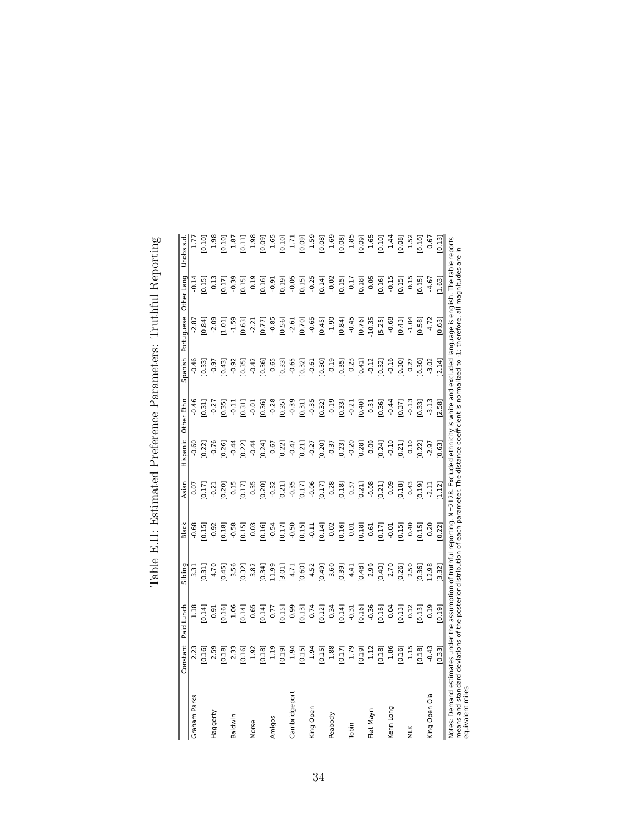|                                                                                                                                                                                                                                                                                                                                | onstant | Lunch<br>Paid | Sibling | Black             | Asian   | Hispanic          | Ethn<br>Other     | Spanish   | Portuguese | Other Lang        | Unobs s.d                                           |
|--------------------------------------------------------------------------------------------------------------------------------------------------------------------------------------------------------------------------------------------------------------------------------------------------------------------------------|---------|---------------|---------|-------------------|---------|-------------------|-------------------|-----------|------------|-------------------|-----------------------------------------------------|
| Graham Parks                                                                                                                                                                                                                                                                                                                   | 2.23    | 1.18          | 3.31    | $-0.68$           | 0.07    | 0.60              | 0.46              | $-0.46$   | $-2.87$    | 0.14              |                                                     |
|                                                                                                                                                                                                                                                                                                                                | 0.16    | 0.14          | 0.31    | 0.15              | 0.17    | 0.22]             | 0.31              | 0.33      | 0.84       | 0.15              | $\frac{1.77}{0.10}$                                 |
| Haggerty                                                                                                                                                                                                                                                                                                                       | 2.59    | 0.91          | 4.70    | $-0.92$           | $-0.21$ | $-0.76$           | $-0.27$           | $-0.97$   | 2.09       | 0.13              |                                                     |
|                                                                                                                                                                                                                                                                                                                                | 0.18    | 0.16]         | 0.45    | 0.18              | 0.20    | 0.26]             | 0.35              | 0.43      | 1.01       | 0.17              | $\begin{array}{c} 1.98 \\ 0.10 \\ 1.87 \end{array}$ |
| <b>Baldwin</b>                                                                                                                                                                                                                                                                                                                 | 2.33    | 1.06          | 3.56    | $-0.58$           | 0.15    | $-0.44$           | $-0.11$           | $-0.92$   | $-1.59$    | $-0.39$           |                                                     |
|                                                                                                                                                                                                                                                                                                                                | 0.16]   | 0.14          | 0.32    | 0.15              | 0.17    | 0.22]             | 0.31              | 0.35      | 0.63       | 0.15              | 0.11                                                |
| Vlorse                                                                                                                                                                                                                                                                                                                         | 1.92    | 0.65          | 3.82    | 0.03              | 0.35    | $-0.44$           | $-0.01$           | $-0.42$   | $-2.21$    | 0.19              | 1.98                                                |
|                                                                                                                                                                                                                                                                                                                                | 0.18    | 0.14          | 0.34    | 0.16              | 0.20    | 0.24              | 0.36              | 0.36]     | 0.77       | 0.16              | 0.09]                                               |
| Amigos                                                                                                                                                                                                                                                                                                                         | 1.19    | 0.77          | 11.99   | $-0.54$           | $-0.32$ | 0.67              |                   | 0.65      | $-0.85$    | $-0.91$           |                                                     |
|                                                                                                                                                                                                                                                                                                                                | 0.19    | 0.15          | [3.01]  | (17)              | 0.21    | 0.22              | $-0.28$<br>[0.35] | [6, 0.33] | 0.56       | 0.19              | $1.65$<br>$0.10$                                    |
| Cambridgeport                                                                                                                                                                                                                                                                                                                  | 1.94    | 0.99          | 4.71    |                   | $-0.35$ |                   |                   | $-0.65$   | $-2.61$    | $-0.05$           |                                                     |
|                                                                                                                                                                                                                                                                                                                                | [0.15]  | [0.13]        | 0.60]   | $-0.50$<br>$0.15$ | 0.17    | $-0.47$<br>$0.21$ | [15.0]            | [0.32]    | [0.70]     | 0.15              | $1.71$<br>0.09]                                     |
| King Open                                                                                                                                                                                                                                                                                                                      | 1.94    | 0.74          | 4.52    | $-0.11$           | $-0.06$ | $-0.27$           | $-0.35$           | $-0.61$   | $-0.65$    | $-0.25$           | 1.59                                                |
|                                                                                                                                                                                                                                                                                                                                | [0.15]  | [0.12]        | [0.49]  | (0.14]            | 0.17    | [0.20]            | (0.32)            | [0.30]    | [0.45]     | [0.14]            | 0.08                                                |
| Peabody                                                                                                                                                                                                                                                                                                                        | 1.88    | 0.34          | 3.60    | $-0.02$           | 0.28    | $-0.37$           | $-0.19$           | $-0.19$   | $-1.90$    | $-0.02$           | 1.69                                                |
|                                                                                                                                                                                                                                                                                                                                | [0.17]  | [0.14]        | [0.39]  | [0.16]            | 0.18    | [0.23]            | 0.33              | [0.35]    | 0.84       | 0.15              | 0.08]                                               |
| Tobin                                                                                                                                                                                                                                                                                                                          | 1.79    | $-0.31$       | 4.41    | 0.01              | 0.37    | $-0.20$           | $-0.21$           | 0.23      | $-0.45$    | 0.17              | 1.85                                                |
|                                                                                                                                                                                                                                                                                                                                | [0.19]  | [0.16]        | [0.48]  | [81,0]            | 0.21    | [0.28]            | 0.40              | 0.41      | [0.76]     | [0.18]            | 0.09                                                |
| let Mayn                                                                                                                                                                                                                                                                                                                       | 1.12    | $-0.36$       | 2.99    | 0.61              | $-0.08$ | 0.09              | 0.31              | $-0.12$   | 10.35      | 0.05              | 1.65                                                |
|                                                                                                                                                                                                                                                                                                                                | [0.18]  | [0.16]        | [0.40]  | 0.17              | 0.21    | [0.24]            | 0.36              | [0.32]    | [5.25]     | [0.16]            | 0.10                                                |
| Kenn Long                                                                                                                                                                                                                                                                                                                      | 1.86    | 0.04          | 2.70    | $-0.01$           | 0.09    | $-0.10$           | $-0.44$           | $-0.16$   | $-0.68$    | $-0.15$           | 1.44                                                |
|                                                                                                                                                                                                                                                                                                                                | 0.16    | 0.13          | 0.26    | 0.15              | 0.18    | 0.21              | 0.37              | 0.30      | [64.0]     | 0.15              | 0.08]                                               |
| MTK                                                                                                                                                                                                                                                                                                                            | 1.15    | 0.12          | 2.50    | 0.40              | 0.43    | 0.10              | $-0.13$           | 0.27      | $-1.04$    | 0.15              | 1.52                                                |
|                                                                                                                                                                                                                                                                                                                                | 0.18    | 0.13          | [0.36]  | 0.15              | 0.19    | 0.22]             | 0.33              | 0.30      | [0.58]     | 0.15              | 0.10                                                |
| King Open Ola                                                                                                                                                                                                                                                                                                                  | $-0.43$ | 0.19          | 12.98   | 0.20              | 2.11    | $-2.97$           | $-3.13$           | $-3.02$   | 4.72       | $-4.67$           | 0.67                                                |
|                                                                                                                                                                                                                                                                                                                                | [0.33]  | [0.19]        | [3.32]  | [0.22]            | [1.12]  | [0.63]            | [2.58]            | [2.14]    | [0.63]     | [1.63]            | [0.13]                                              |
| Notes: Demand estimates under the assumption of truthful reporting. N=2128. Excluded ethnicity is white and excluded language is english. The table reports<br>means and standard deviations of the posterior distribution of each parameter. The distance coefficient is normalized to -1; therefore, all<br>equivalent miles |         |               |         |                   |         |                   |                   |           |            | magnitudes are in |                                                     |

Table E.II: Estimated Preference Parameters: Truthful Reporting Table E.II: Estimated Preference Parameters: Truthful Reporting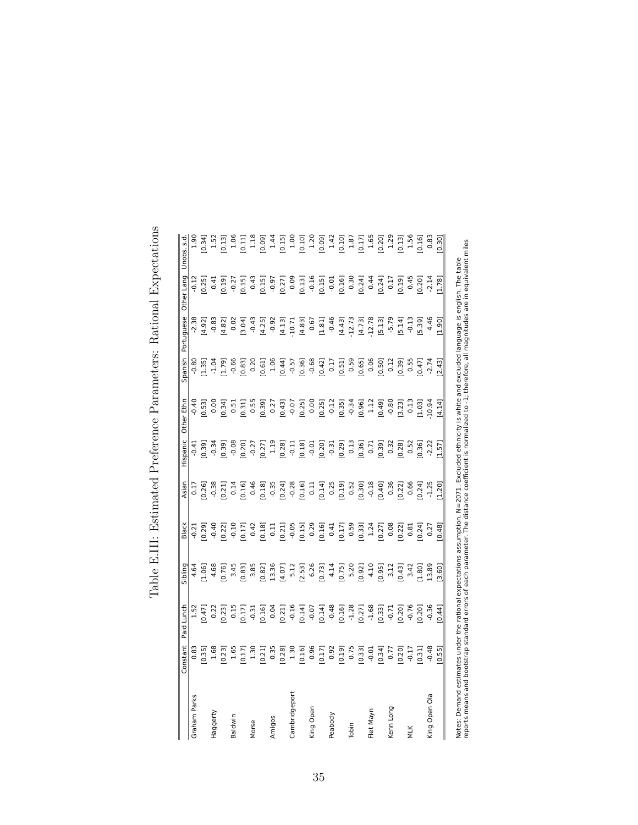|                              | Constant | Paid Lunch | Sibling | <b>Black</b> | Asian         | Hispanic | Other Ethn | Spanish | Portuguese | Other Lang | Unobs. s.d                                                          |
|------------------------------|----------|------------|---------|--------------|---------------|----------|------------|---------|------------|------------|---------------------------------------------------------------------|
| Graham Parks                 | 0.83     | 1.52       | 4.64    | $-0.21$      | $\frac{1}{2}$ | $-0.41$  | 0.40       | $-0.80$ | 2.38       | 0.12       | $-0.5$                                                              |
|                              | 0.35     | 0.47       | 1.06    | 0.29         | 0.26          | 0.39     | 0.53       | 1.35    | 4.92]      | 0.25       | 0.34                                                                |
| Haggerty                     | 1.68     | 0.22       | 4.68    | $-0.40$      | $-0.38$       | $-0.34$  | 0.00       | $-1.04$ | $-0.8$     | 0.41       | 1.52                                                                |
|                              | 0.23     | 0.23       | 0.76    | 0.22         | 0.21          | 0.39     | 0.34       | 1.79    | 4.82       | 0.19       |                                                                     |
| Baldwin                      | 1.65     | 0.15       | 3.45    | $-0.10$      | 0.14          | $-0.08$  | 0.51       | $-0.66$ | 0.02       | $-0.27$    |                                                                     |
|                              | 0.17     | 0.17       | 0.83    | 0.17         | 0.16          | 0.20     | 0.31       | 0.83    | 3.04]      | 0.15       | 0.13]<br>1.06<br>1.11<br>1.18<br>1.18                               |
| Vlorse                       | 1.30     | $-0.31$    | 3.85    | 0.42         | 0.46          | $-0.27$  | 0.55       | 0.20    | $-0.43$    | 0.43       |                                                                     |
|                              | 0.21     | 0.16       | 0.82    | 0.18         | 0.18          | 0.27     | 0.39       | 0.61    | 4.25]      | 0.15       |                                                                     |
| Amigos                       | 0.35     | 0.04       | 13.36   | 0.11         | $-0.35$       | 1.19     | 0.27       | 1.06    | $-0.92$    | $-0.97$    |                                                                     |
|                              | [0.28]   | 0.21       | 4.07    | 0.21         | 0.24          | 0.28     | [0.43]     | 0.44    | [4.13]     | 0.27       | $\begin{array}{c} 1.44 \\ 1.51 \\ 1.00 \\ 1.00 \\ 1.20 \end{array}$ |
| ${\small\textsf{Cambridge}}$ | 1.30     | $-0.16$    | 5.12    | $-0.05$      | $-0.28$       | $-0.11$  | $-0.07$    | $-0.57$ | 10.71      | 0.09       |                                                                     |
|                              | [0.16]   | 0.14       | [2.53]  | [0.15]       | 0.16          | [0.18]   | (0.25)     | [0.36]  | [4.83]     | 0.13       |                                                                     |
| King Open                    | 0.96     | $-0.07$    | 6.26    | 0.29         | 0.11          | $-0.01$  | 0.00       | $-0.68$ | 0.67       | $-0.16$    |                                                                     |
|                              | [0.17]   | [0.14]     | [0.73]  | [0.16]       | 0.14          | [0.20]   | [0.25]     | [0.42]  | [1.81]     | [0.15]     |                                                                     |
| Peabody                      | 0.92     | $-0.48$    | 4.14    | 0.41         | 0.25          | $-0.31$  | $-0.12$    | 0.17    | $-0.46$    | $-0.01$    | $[0.09]$<br>1.42                                                    |
|                              | [0.19]   | [0.16]     | [0.75]  | 0.17         | 0.19          | [0.29]   | [0.35]     | 0.51    | [4.43]     | [0.16]     |                                                                     |
| Tobin                        | 0.75     | $-1.28$    | 5.20    | 0.59         | 0.52          | 0.13     | $-0.34$    | 0.59    | 12.73      | 0.30       | 0.10]<br>1.87<br>1.0.17]                                            |
|                              | [0.33]   | [0.27]     | [0.92]  | 0.33         | 0.30          | [0.36]   | [0.96]     | [0.65]  | [4.73]     | [0.24]     |                                                                     |
| Flet Mayn                    | $-0.01$  | $-1.68$    | 4.10    | 1.24         | $-0.18$       | 0.71     | 1.12       | 0.06    | 12.78      | 0.44       | 1.65                                                                |
|                              | 0.34     | [0.33]     | 0.95    | 0.27         | 0.40          | 0.39     | [0.49]     | [0.50]  | 5.13       | [0.24]     | 0.20                                                                |
| Kenn Long                    | 0.77     | $-0.71$    | 3.12    | 0.08         | 0.36          | 0.32     | $-0.80$    | 0.12    | $-5.79$    | 0.17       | 1.29                                                                |
|                              | [0.20]   | 0.20       | [64.0]  | 0.22         | 0.22]         | [82.0]   | 3.23       | 0.39    | $5.14$ ]   | 0.19       | (0.13)                                                              |
| MTK                          | 0.17     | $-0.76$    | 3.42    | 0.81         | 0.66          | 0.52     | 0.13       | 0.55    | $-0.13$    | 0.45       | 1.56                                                                |
|                              | 0.31     | 0.20       | 1.80    | 0.24         | 0.24          | 0.36     | [1.03]     | (14.0)  | 5.39       | 0.20       | 0.16                                                                |
| King Open Ola                | $-0.48$  | $-0.36$    | 13.89   | 0.27         | $-1.25$       | $-2.22$  | $-10.94$   | $-2.74$ | 4.46       | $-2.14$    | 0.83                                                                |
|                              | [0.55]   | [0.44]     | [3.60]  | [0.48]       | [1.20]        | [1.57]   | [4.14]     | [2.43]  | [1.90]     | [1.78]     | [0.30]                                                              |

reports means and bootstrap standard errors of each parameter. The distance coefficient is normalized to -1; therefore, all magnitudes are in equivalent miles

Table E.III: Estimated Preference Parameters: Rational Expectations Table E.III: Estimated Preference Parameters: Rational Expectations